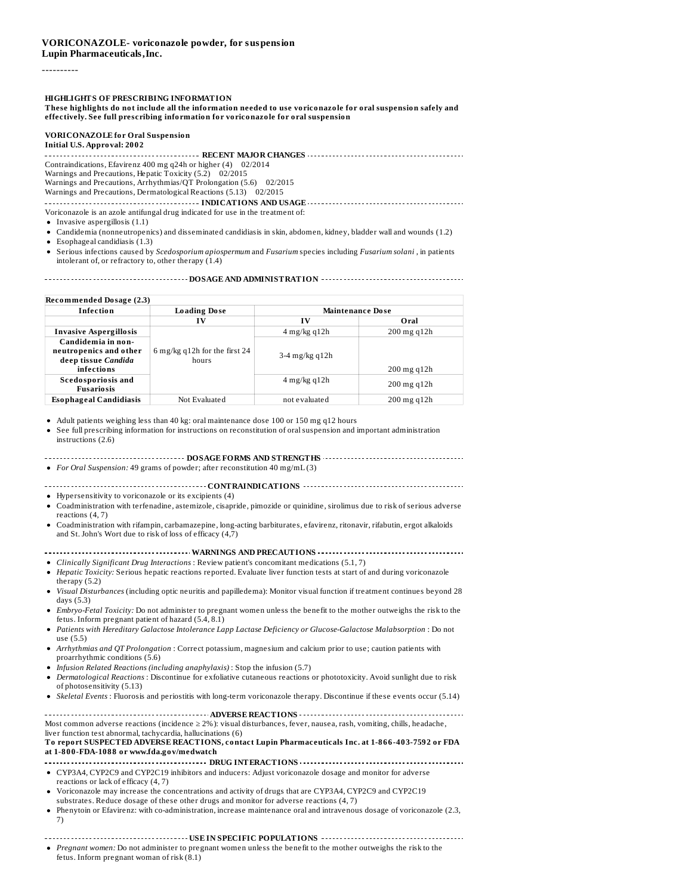#### ----------

**HIGHLIGHTS OF PRESCRIBING INFORMATION**

These highlights do not include all the information needed to use voriconazole for oral suspension safely and **effectively. See full prescribing information for voriconazole for oral suspension**

# **VORICONAZOLE for Oral Suspension**

**Initial U.S. Approval: 2002**

**RECENT MAJOR CHANGES** Contraindications, Efavirenz 400 mg q24h or higher (4) 02/2014

Warnings and Precautions, Hepatic Toxicity (5.2) 02/2015

Warnings and Precautions, Arrhythmias/QT Prolongation (5.6) 02/2015

Warnings and Precautions, Dermatological Reactions (5.13) 02/2015

**INDICATIONS AND USAGE INDICATIONS AND USAGE** *COLLECTIONS* Voriconazole is an azole antifungal drug indicated for use in the treatment of:

- $\bullet$  Invasive aspergillosis (1.1)
- Candidemia (nonneutropenics) and disseminated candidiasis in skin, abdomen, kidney, bladder wall and wounds (1.2)
- Esophageal candidiasis (1.3)
- Serious infections caused by *Scedosporium apiospermum* and *Fusarium* species including *Fusarium solani* , in patients intolerant of, or refractory to, other therapy (1.4)

**DOSAGE AND ADMINISTRATION**

| Recommended Dosage (2.3)                       |                                        |                         |                  |  |  |
|------------------------------------------------|----------------------------------------|-------------------------|------------------|--|--|
| Infection                                      | <b>Loading Dose</b>                    | <b>Maintenance Dose</b> |                  |  |  |
|                                                | IV                                     | $\bf{IV}$               | Oral             |  |  |
| <b>Invasive Aspergillosis</b>                  |                                        | $4$ mg/kg q $12h$       | $200$ mg q $12h$ |  |  |
| Candidemia in non-                             |                                        |                         |                  |  |  |
| neutropenics and other<br>deep tissue Candida  | 6 mg/kg q12h for the first 24<br>hours | $3-4$ mg/kg q $12h$     |                  |  |  |
| infections                                     |                                        |                         | $200$ mg q $12h$ |  |  |
| <b>Scedosporiosis and</b><br><b>Fusariosis</b> |                                        | $4$ mg/kg q $12h$       | $200$ mg q $12h$ |  |  |
| <b>Esophageal Candidiasis</b>                  | Not Evaluated                          | not evaluated           | $200$ mg q $12h$ |  |  |

Adult patients weighing less than 40 kg: oral maintenance dose 100 or 150 mg q12 hours

| • See full prescribing information for instructions on reconstitution of oral suspension and important administration |
|-----------------------------------------------------------------------------------------------------------------------|
| instructions (2.6)                                                                                                    |

**DOSAGE FORMS AND STRENGTHS** *For Oral Suspension:* 49 grams of powder; after reconstitution 40 mg/mL (3)

**CONTRAINDICATIONS**

Hypersensitivity to voriconazole or its excipients (4)

- Coadministration with terfenadine, astemizole, cisapride, pimozide or quinidine, sirolimus due to risk of serious adverse reactions (4, 7)
- Coadministration with rifampin, carbamazepine, long-acting barbiturates, efavirenz, ritonavir, rifabutin, ergot alkaloids and St. John's Wort due to risk of loss of efficacy (4,7)

**WARNINGS AND PRECAUTIONS**

*Clinically Significant Drug Interactions* : Review patient's concomitant medications (5.1, 7)

- *Hepatic Toxicity:* Serious hepatic reactions reported. Evaluate liver function tests at start of and during voriconazole therapy (5.2)
- *Visual Disturbances* (including optic neuritis and papilledema): Monitor visual function if treatment continues beyond 28 days (5.3)
- *Embryo-Fetal Toxicity:* Do not administer to pregnant women unless the benefit to the mother outweighs the risk to the fetus. Inform pregnant patient of hazard (5.4, 8.1)
- *Patients with Hereditary Galactose Intolerance Lapp Lactase Deficiency or Glucose-Galactose Malabsorption* : Do not use (5.5)
- *Arrhythmias and QT Prolongation* : Correct potassium, magnesium and calcium prior to use; caution patients with proarrhythmic conditions (5.6)
- *Infusion Related Reactions (including anaphylaxis)* : Stop the infusion (5.7)
- *Dermatological Reactions* : Discontinue for exfoliative cutaneous reactions or phototoxicity. Avoid sunlight due to risk of photosensitivity (5.13)
- *Skeletal Events* : Fluorosis and periostitis with long-term voriconazole therapy. Discontinue if these events occur (5.14)

**ADVERSE REACTIONS** Most common adverse reactions (incidence ≥ 2%): visual disturbances, fever, nausea, rash, vomiting, chills, headache, liver function test abnormal, tachycardia, hallucinations (6)

**To report SUSPECTED ADVERSE REACTIONS, contact Lupin Pharmaceuticals Inc. at 1-866-403-7592 or FDA at 1-800-FDA-1088 or www.fda.gov/medwatch**

- **DRUG INTERACTIONS CONSERVERS CONSERVERS CONS CONS CONSERVERS CONSERVERS** CYP3A4, CYP2C9 and CYP2C19 inhibitors and inducers: Adjust voriconazole dosage and monitor for adverse
- reactions or lack of efficacy (4, 7) • Voriconazole may increase the concentrations and activity of drugs that are CYP3A4, CYP2C9 and CYP2C19
- substrates. Reduce dosage of these other drugs and monitor for adverse reactions (4, 7)
- Phenytoin or Efavirenz: with co-administration, increase maintenance oral and intravenous dosage of voriconazole (2.3, 7)

**USE IN SPECIFIC POPULATIONS**

*Pregnant women:* Do not administer to pregnant women unless the benefit to the mother outweighs the risk to the fetus. Inform pregnant woman of risk (8.1)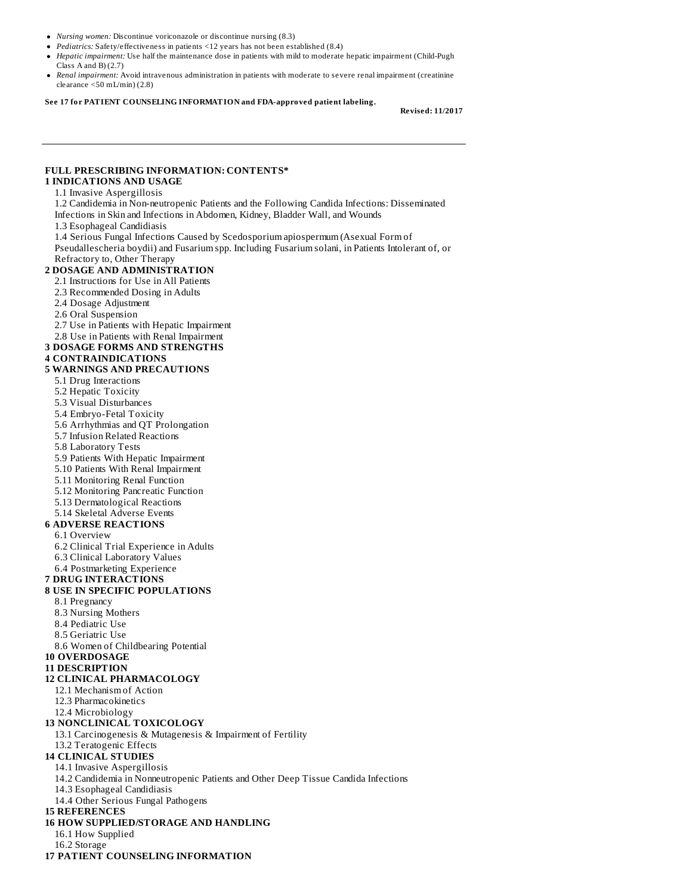- *Nursing women:* Discontinue voriconazole or discontinue nursing (8.3)
- *Pediatrics:* Safety/effectiveness in patients <12 years has not been established (8.4)
- *Hepatic impairment:* Use half the maintenance dose in patients with mild to moderate hepatic impairment (Child-Pugh Class A and B) (2.7)
- *Renal impairment:* Avoid intravenous administration in patients with moderate to severe renal impairment (creatinine clearance <50 mL/min) (2.8)

**See 17 for PATIENT COUNSELING INFORMATION and FDA-approved patient labeling.**

**Revised: 11/2017**

### **FULL PRESCRIBING INFORMATION: CONTENTS\***

### **1 INDICATIONS AND USAGE**

#### 1.1 Invasive Aspergillosis

1.2 Candidemia in Non-neutropenic Patients and the Following Candida Infections: Disseminated Infections in Skin and Infections in Abdomen, Kidney, Bladder Wall, and Wounds

1.3 Esophageal Candidiasis

1.4 Serious Fungal Infections Caused by Scedosporium apiospermum (Asexual Form of Pseudallescheria boydii) and Fusarium spp. Including Fusarium solani, in Patients Intolerant of, or Refractory to, Other Therapy

#### **2 DOSAGE AND ADMINISTRATION**

- 2.1 Instructions for Use in All Patients
- 2.3 Recommended Dosing in Adults
- 2.4 Dosage Adjustment
- 2.6 Oral Suspension

2.7 Use in Patients with Hepatic Impairment

- 2.8 Use in Patients with Renal Impairment
- **3 DOSAGE FORMS AND STRENGTHS**

#### **4 CONTRAINDICATIONS**

#### **5 WARNINGS AND PRECAUTIONS**

- 5.1 Drug Interactions
- 5.2 Hepatic Toxicity
- 5.3 Visual Disturbances
- 5.4 Embryo-Fetal Toxicity
- 5.6 Arrhythmias and QT Prolongation
- 5.7 Infusion Related Reactions
- 5.8 Laboratory Tests
- 5.9 Patients With Hepatic Impairment
- 5.10 Patients With Renal Impairment
- 5.11 Monitoring Renal Function
- 5.12 Monitoring Pancreatic Function
- 5.13 Dermatological Reactions
- 5.14 Skeletal Adverse Events

#### **6 ADVERSE REACTIONS**

- 6.1 Overview
- 6.2 Clinical Trial Experience in Adults
- 6.3 Clinical Laboratory Values
- 6.4 Postmarketing Experience

## **7 DRUG INTERACTIONS**

#### **8 USE IN SPECIFIC POPULATIONS**

- 8.1 Pregnancy
- 8.3 Nursing Mothers
- 8.4 Pediatric Use
- 8.5 Geriatric Use
- 8.6 Women of Childbearing Potential

#### **10 OVERDOSAGE**

#### **11 DESCRIPTION**

### **12 CLINICAL PHARMACOLOGY**

- 12.1 Mechanism of Action
- 12.3 Pharmacokinetics
- 12.4 Microbiology

#### **13 NONCLINICAL TOXICOLOGY**

13.1 Carcinogenesis & Mutagenesis & Impairment of Fertility

## 13.2 Teratogenic Effects

- **14 CLINICAL STUDIES**
	- 14.1 Invasive Aspergillosis
	- 14.2 Candidemia in Nonneutropenic Patients and Other Deep Tissue Candida Infections
	- 14.3 Esophageal Candidiasis
	- 14.4 Other Serious Fungal Pathogens

### **15 REFERENCES**

- **16 HOW SUPPLIED/STORAGE AND HANDLING**
	- 16.1 How Supplied
	- 16.2 Storage
- **17 PATIENT COUNSELING INFORMATION**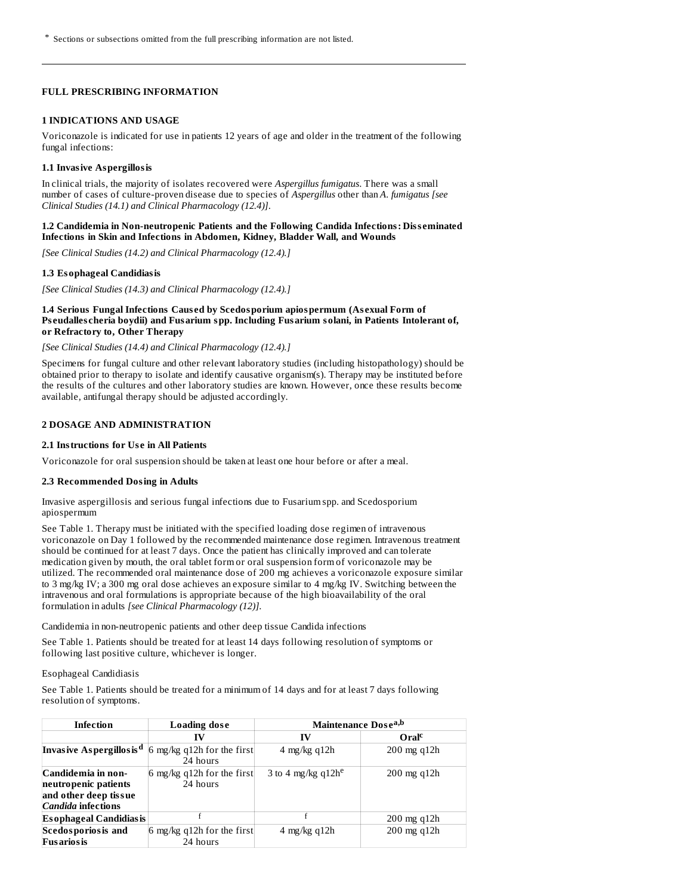### **FULL PRESCRIBING INFORMATION**

#### **1 INDICATIONS AND USAGE**

Voriconazole is indicated for use in patients 12 years of age and older in the treatment of the following fungal infections:

### **1.1 Invasive Aspergillosis**

In clinical trials, the majority of isolates recovered were *Aspergillus fumigatus*. There was a small number of cases of culture-proven disease due to species of *Aspergillus* other than *A. fumigatus [see Clinical Studies (14.1) and Clinical Pharmacology (12.4)]*.

### **1.2 Candidemia in Non-neutropenic Patients and the Following Candida Infections: Diss eminated Infections in Skin and Infections in Abdomen, Kidney, Bladder Wall, and Wounds**

*[See Clinical Studies (14.2) and Clinical Pharmacology (12.4).]*

### **1.3 Esophageal Candidiasis**

*[See Clinical Studies (14.3) and Clinical Pharmacology (12.4).]*

### **1.4 Serious Fungal Infections Caus ed by Scedosporium apiospermum (As exual Form of Ps eudalles cheria boydii) and Fusarium spp. Including Fusarium solani, in Patients Intolerant of, or Refractory to, Other Therapy**

### *[See Clinical Studies (14.4) and Clinical Pharmacology (12.4).]*

Specimens for fungal culture and other relevant laboratory studies (including histopathology) should be obtained prior to therapy to isolate and identify causative organism(s). Therapy may be instituted before the results of the cultures and other laboratory studies are known. However, once these results become available, antifungal therapy should be adjusted accordingly.

### **2 DOSAGE AND ADMINISTRATION**

### **2.1 Instructions for Us e in All Patients**

Voriconazole for oral suspension should be taken at least one hour before or after a meal.

#### **2.3 Recommended Dosing in Adults**

Invasive aspergillosis and serious fungal infections due to Fusarium spp. and Scedosporium apiospermum

See Table 1. Therapy must be initiated with the specified loading dose regimen of intravenous voriconazole on Day 1 followed by the recommended maintenance dose regimen. Intravenous treatment should be continued for at least 7 days. Once the patient has clinically improved and can tolerate medication given by mouth, the oral tablet form or oral suspension form of voriconazole may be utilized. The recommended oral maintenance dose of 200 mg achieves a voriconazole exposure similar to 3 mg/kg IV; a 300 mg oral dose achieves an exposure similar to 4 mg/kg IV. Switching between the intravenous and oral formulations is appropriate because of the high bioavailability of the oral formulation in adults *[see Clinical Pharmacology (12)]*.

Candidemia in non-neutropenic patients and other deep tissue Candida infections

See Table 1. Patients should be treated for at least 14 days following resolution of symptoms or following last positive culture, whichever is longer.

#### Esophageal Candidiasis

See Table 1. Patients should be treated for a minimum of 14 days and for at least 7 days following resolution of symptoms.

| Infection                                                                                 | Loading dose                           | Maintenance Dose <sup>a,b</sup> |                        |
|-------------------------------------------------------------------------------------------|----------------------------------------|---------------------------------|------------------------|
|                                                                                           | IV                                     | IV                              | Oralc                  |
| Invasive Aspergillosis <sup>d</sup>                                                       | 6 mg/kg q12h for the first<br>24 hours | 4 mg/kg q $12h$                 | $200$ mg q $12h$       |
| Candidemia in non-<br>neutropenic patients<br>and other deep tissue<br>Candida infections | 6 mg/kg q12h for the first<br>24 hours | 3 to 4 mg/kg $q12h^e$           | $200 \text{ mg } q12h$ |
| <b>Esophageal Candidiasis</b>                                                             |                                        |                                 | $200 \text{ mg } q12h$ |
| <b>Scedosporiosis and</b><br><b>Fusarios is</b>                                           | 6 mg/kg q12h for the first<br>24 hours | $4 \text{ mg/kg}$ q $12h$       | $200$ mg q $12h$       |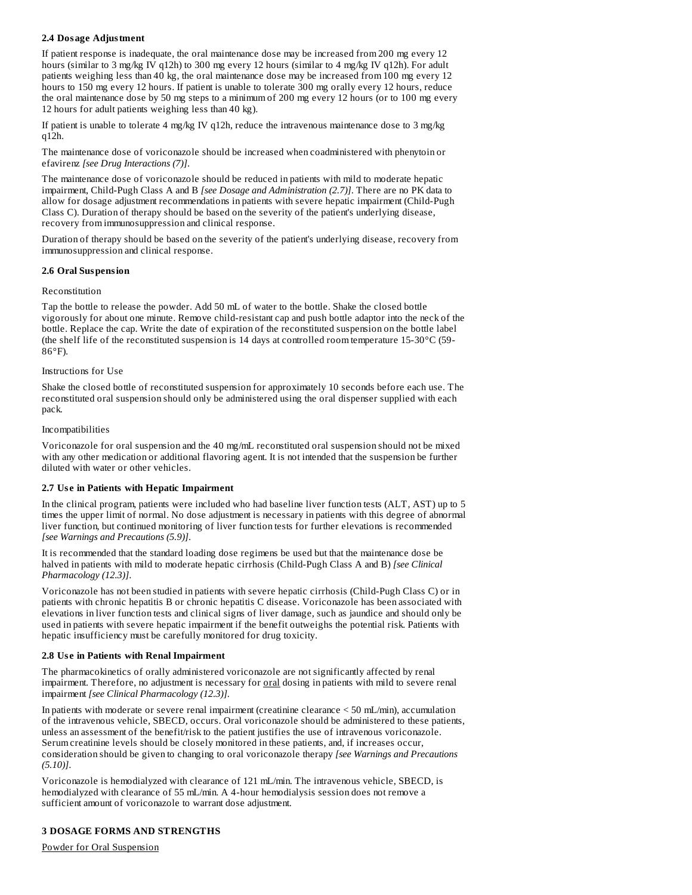## **2.4 Dosage Adjustment**

If patient response is inadequate, the oral maintenance dose may be increased from 200 mg every 12 hours (similar to 3 mg/kg IV q12h) to 300 mg every 12 hours (similar to 4 mg/kg IV q12h). For adult patients weighing less than 40 kg, the oral maintenance dose may be increased from 100 mg every 12 hours to 150 mg every 12 hours. If patient is unable to tolerate 300 mg orally every 12 hours, reduce the oral maintenance dose by 50 mg steps to a minimum of 200 mg every 12 hours (or to 100 mg every 12 hours for adult patients weighing less than 40 kg).

If patient is unable to tolerate 4 mg/kg IV q12h, reduce the intravenous maintenance dose to 3 mg/kg q12h.

The maintenance dose of voriconazole should be increased when coadministered with phenytoin or efavirenz *[see Drug Interactions (7)]*.

The maintenance dose of voriconazole should be reduced in patients with mild to moderate hepatic impairment, Child-Pugh Class A and B *[see Dosage and Administration (2.7)]*. There are no PK data to allow for dosage adjustment recommendations in patients with severe hepatic impairment (Child-Pugh Class C). Duration of therapy should be based on the severity of the patient's underlying disease, recovery from immunosuppression and clinical response.

Duration of therapy should be based on the severity of the patient's underlying disease, recovery from immunosuppression and clinical response.

### **2.6 Oral Suspension**

### Reconstitution

Tap the bottle to release the powder. Add 50 mL of water to the bottle. Shake the closed bottle vigorously for about one minute. Remove child-resistant cap and push bottle adaptor into the neck of the bottle. Replace the cap. Write the date of expiration of the reconstituted suspension on the bottle label (the shelf life of the reconstituted suspension is 14 days at controlled room temperature 15-30°C (59- 86°F).

### Instructions for Use

Shake the closed bottle of reconstituted suspension for approximately 10 seconds before each use. The reconstituted oral suspension should only be administered using the oral dispenser supplied with each pack.

### Incompatibilities

Voriconazole for oral suspension and the 40 mg/mL reconstituted oral suspension should not be mixed with any other medication or additional flavoring agent. It is not intended that the suspension be further diluted with water or other vehicles.

### **2.7 Us e in Patients with Hepatic Impairment**

In the clinical program, patients were included who had baseline liver function tests (ALT, AST) up to 5 times the upper limit of normal. No dose adjustment is necessary in patients with this degree of abnormal liver function, but continued monitoring of liver function tests for further elevations is recommended *[see Warnings and Precautions (5.9)]*.

It is recommended that the standard loading dose regimens be used but that the maintenance dose be halved in patients with mild to moderate hepatic cirrhosis (Child-Pugh Class A and B) *[see Clinical Pharmacology (12.3)]*.

Voriconazole has not been studied in patients with severe hepatic cirrhosis (Child-Pugh Class C) or in patients with chronic hepatitis B or chronic hepatitis C disease. Voriconazole has been associated with elevations in liver function tests and clinical signs of liver damage, such as jaundice and should only be used in patients with severe hepatic impairment if the benefit outweighs the potential risk. Patients with hepatic insufficiency must be carefully monitored for drug toxicity.

### **2.8 Us e in Patients with Renal Impairment**

The pharmacokinetics of orally administered voriconazole are not significantly affected by renal impairment. Therefore, no adjustment is necessary for oral dosing in patients with mild to severe renal impairment *[see Clinical Pharmacology (12.3)]*.

In patients with moderate or severe renal impairment (creatinine clearance < 50 mL/min), accumulation of the intravenous vehicle, SBECD, occurs. Oral voriconazole should be administered to these patients, unless an assessment of the benefit/risk to the patient justifies the use of intravenous voriconazole. Serum creatinine levels should be closely monitored in these patients, and, if increases occur, consideration should be given to changing to oral voriconazole therapy *[see Warnings and Precautions (5.10)]*.

Voriconazole is hemodialyzed with clearance of 121 mL/min. The intravenous vehicle, SBECD, is hemodialyzed with clearance of 55 mL/min. A 4-hour hemodialysis session does not remove a sufficient amount of voriconazole to warrant dose adjustment.

## **3 DOSAGE FORMS AND STRENGTHS**

Powder for Oral Suspension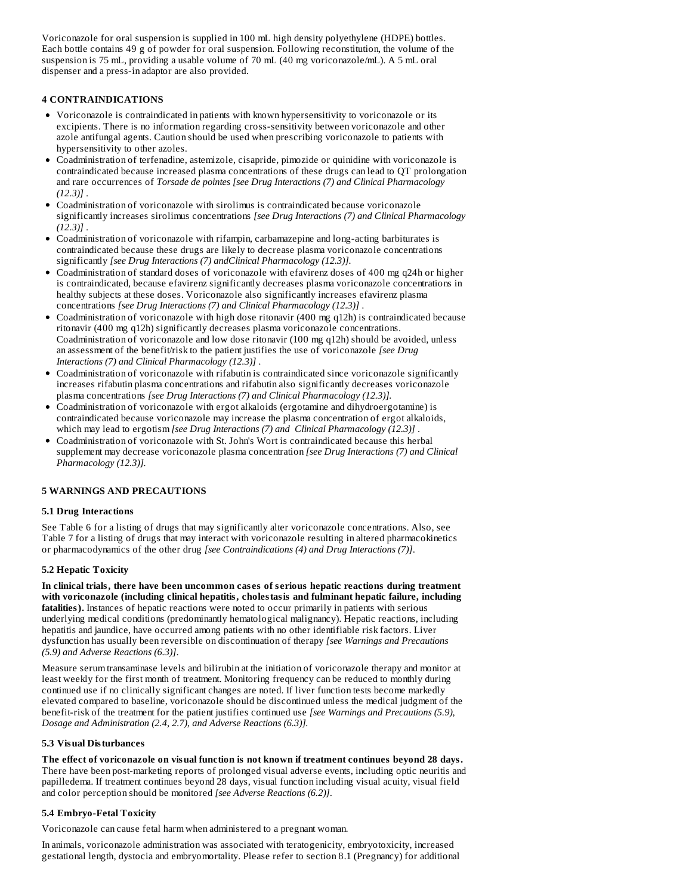Voriconazole for oral suspension is supplied in 100 mL high density polyethylene (HDPE) bottles. Each bottle contains 49 g of powder for oral suspension. Following reconstitution, the volume of the suspension is 75 mL, providing a usable volume of 70 mL (40 mg voriconazole/mL). A 5 mL oral dispenser and a press-in adaptor are also provided.

### **4 CONTRAINDICATIONS**

- Voriconazole is contraindicated in patients with known hypersensitivity to voriconazole or its excipients. There is no information regarding cross-sensitivity between voriconazole and other azole antifungal agents. Caution should be used when prescribing voriconazole to patients with hypersensitivity to other azoles.
- Coadministration of terfenadine, astemizole, cisapride, pimozide or quinidine with voriconazole is contraindicated because increased plasma concentrations of these drugs can lead to QT prolongation and rare occurrences of *Torsade de pointes [see Drug Interactions (7) and Clinical Pharmacology (12.3)]* .
- Coadministration of voriconazole with sirolimus is contraindicated because voriconazole significantly increases sirolimus concentrations *[see Drug Interactions (7) and Clinical Pharmacology (12.3)]* .
- Coadministration of voriconazole with rifampin, carbamazepine and long-acting barbiturates is contraindicated because these drugs are likely to decrease plasma voriconazole concentrations significantly *[see Drug Interactions (7) andClinical Pharmacology (12.3)].*
- Coadministration of standard doses of voriconazole with efavirenz doses of 400 mg q24h or higher is contraindicated, because efavirenz significantly decreases plasma voriconazole concentrations in healthy subjects at these doses. Voriconazole also significantly increases efavirenz plasma concentrations *[see Drug Interactions (7) and Clinical Pharmacology (12.3)]* .
- Coadministration of voriconazole with high dose ritonavir (400 mg q12h) is contraindicated because ritonavir (400 mg q12h) significantly decreases plasma voriconazole concentrations. Coadministration of voriconazole and low dose ritonavir (100 mg q12h) should be avoided, unless an assessment of the benefit/risk to the patient justifies the use of voriconazole *[see Drug Interactions (7) and Clinical Pharmacology (12.3)]* .
- Coadministration of voriconazole with rifabutin is contraindicated since voriconazole significantly increases rifabutin plasma concentrations and rifabutin also significantly decreases voriconazole plasma concentrations *[see Drug Interactions (7) and Clinical Pharmacology (12.3)].*
- Coadministration of voriconazole with ergot alkaloids (ergotamine and dihydroergotamine) is contraindicated because voriconazole may increase the plasma concentration of ergot alkaloids, which may lead to ergotism *[see Drug Interactions (7) and Clinical Pharmacology (12.3)]* .
- Coadministration of voriconazole with St. John's Wort is contraindicated because this herbal supplement may decrease voriconazole plasma concentration *[see Drug Interactions (7) and Clinical Pharmacology (12.3)].*

## **5 WARNINGS AND PRECAUTIONS**

### **5.1 Drug Interactions**

See Table 6 for a listing of drugs that may significantly alter voriconazole concentrations. Also, see Table 7 for a listing of drugs that may interact with voriconazole resulting in altered pharmacokinetics or pharmacodynamics of the other drug *[see Contraindications (4) and Drug Interactions (7)]*.

### **5.2 Hepatic Toxicity**

**In clinical trials, there have been uncommon cas es of s erious hepatic reactions during treatment with voriconazole (including clinical hepatitis, cholestasis and fulminant hepatic failure, including fatalities).** Instances of hepatic reactions were noted to occur primarily in patients with serious underlying medical conditions (predominantly hematological malignancy). Hepatic reactions, including hepatitis and jaundice, have occurred among patients with no other identifiable risk factors. Liver dysfunction has usually been reversible on discontinuation of therapy *[see Warnings and Precautions (5.9) and Adverse Reactions (6.3)]*.

Measure serum transaminase levels and bilirubin at the initiation of voriconazole therapy and monitor at least weekly for the first month of treatment. Monitoring frequency can be reduced to monthly during continued use if no clinically significant changes are noted. If liver function tests become markedly elevated compared to baseline, voriconazole should be discontinued unless the medical judgment of the benefit-risk of the treatment for the patient justifies continued use *[see Warnings and Precautions (5.9), Dosage and Administration (2.4, 2.7), and Adverse Reactions (6.3)].*

### **5.3 Visual Disturbances**

**The effect of voriconazole on visual function is not known if treatment continues beyond 28 days.** There have been post-marketing reports of prolonged visual adverse events, including optic neuritis and papilledema. If treatment continues beyond 28 days, visual function including visual acuity, visual field and color perception should be monitored *[see Adverse Reactions (6.2)]*.

## **5.4 Embryo-Fetal Toxicity**

Voriconazole can cause fetal harm when administered to a pregnant woman.

In animals, voriconazole administration was associated with teratogenicity, embryotoxicity, increased gestational length, dystocia and embryomortality. Please refer to section 8.1 (Pregnancy) for additional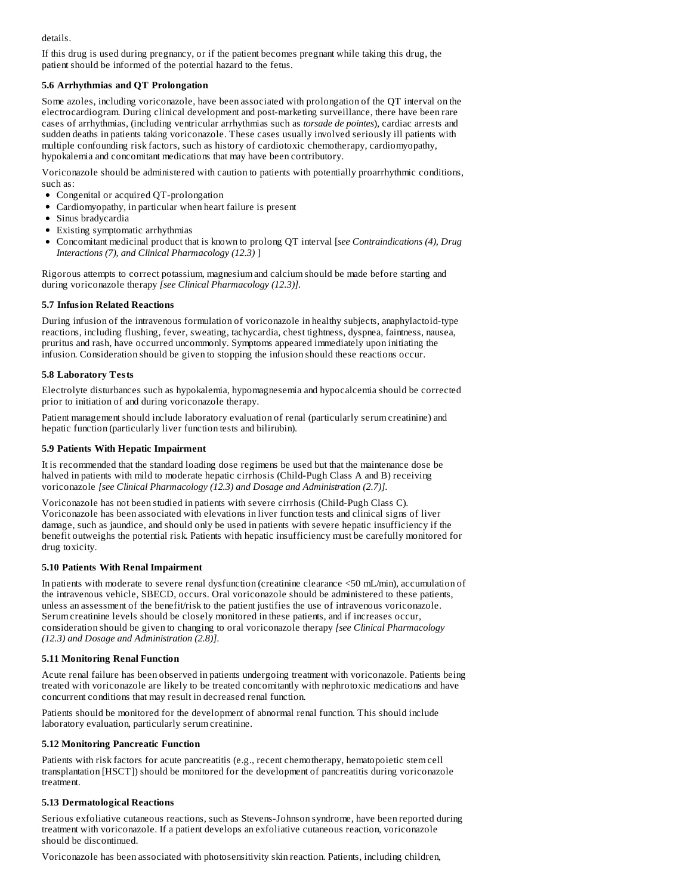details.

If this drug is used during pregnancy, or if the patient becomes pregnant while taking this drug, the patient should be informed of the potential hazard to the fetus.

## **5.6 Arrhythmias and QT Prolongation**

Some azoles, including voriconazole, have been associated with prolongation of the QT interval on the electrocardiogram. During clinical development and post-marketing surveillance, there have been rare cases of arrhythmias, (including ventricular arrhythmias such as *torsade de pointes*), cardiac arrests and sudden deaths in patients taking voriconazole. These cases usually involved seriously ill patients with multiple confounding risk factors, such as history of cardiotoxic chemotherapy, cardiomyopathy, hypokalemia and concomitant medications that may have been contributory.

Voriconazole should be administered with caution to patients with potentially proarrhythmic conditions, such as:

- Congenital or acquired QT-prolongation
- Cardiomyopathy, in particular when heart failure is present
- Sinus bradycardia
- Existing symptomatic arrhythmias
- Concomitant medicinal product that is known to prolong QT interval [*see Contraindications (4), Drug Interactions (7), and Clinical Pharmacology (12.3)* ]

Rigorous attempts to correct potassium, magnesium and calcium should be made before starting and during voriconazole therapy *[see Clinical Pharmacology (12.3)].*

### **5.7 Infusion Related Reactions**

During infusion of the intravenous formulation of voriconazole in healthy subjects, anaphylactoid-type reactions, including flushing, fever, sweating, tachycardia, chest tightness, dyspnea, faintness, nausea, pruritus and rash, have occurred uncommonly. Symptoms appeared immediately upon initiating the infusion. Consideration should be given to stopping the infusion should these reactions occur.

### **5.8 Laboratory Tests**

Electrolyte disturbances such as hypokalemia, hypomagnesemia and hypocalcemia should be corrected prior to initiation of and during voriconazole therapy.

Patient management should include laboratory evaluation of renal (particularly serum creatinine) and hepatic function (particularly liver function tests and bilirubin).

### **5.9 Patients With Hepatic Impairment**

It is recommended that the standard loading dose regimens be used but that the maintenance dose be halved in patients with mild to moderate hepatic cirrhosis (Child-Pugh Class A and B) receiving voriconazole *[see Clinical Pharmacology (12.3) and Dosage and Administration (2.7)]*.

Voriconazole has not been studied in patients with severe cirrhosis (Child-Pugh Class C). Voriconazole has been associated with elevations in liver function tests and clinical signs of liver damage, such as jaundice, and should only be used in patients with severe hepatic insufficiency if the benefit outweighs the potential risk. Patients with hepatic insufficiency must be carefully monitored for drug toxicity.

### **5.10 Patients With Renal Impairment**

In patients with moderate to severe renal dysfunction (creatinine clearance <50 mL/min), accumulation of the intravenous vehicle, SBECD, occurs. Oral voriconazole should be administered to these patients, unless an assessment of the benefit/risk to the patient justifies the use of intravenous voriconazole. Serum creatinine levels should be closely monitored in these patients, and if increases occur, consideration should be given to changing to oral voriconazole therapy *[see Clinical Pharmacology (12.3) and Dosage and Administration (2.8)]*.

### **5.11 Monitoring Renal Function**

Acute renal failure has been observed in patients undergoing treatment with voriconazole. Patients being treated with voriconazole are likely to be treated concomitantly with nephrotoxic medications and have concurrent conditions that may result in decreased renal function.

Patients should be monitored for the development of abnormal renal function. This should include laboratory evaluation, particularly serum creatinine.

### **5.12 Monitoring Pancreatic Function**

Patients with risk factors for acute pancreatitis (e.g., recent chemotherapy, hematopoietic stem cell transplantation [HSCT]) should be monitored for the development of pancreatitis during voriconazole treatment.

### **5.13 Dermatological Reactions**

Serious exfoliative cutaneous reactions, such as Stevens-Johnson syndrome, have been reported during treatment with voriconazole. If a patient develops an exfoliative cutaneous reaction, voriconazole should be discontinued.

Voriconazole has been associated with photosensitivity skin reaction. Patients, including children,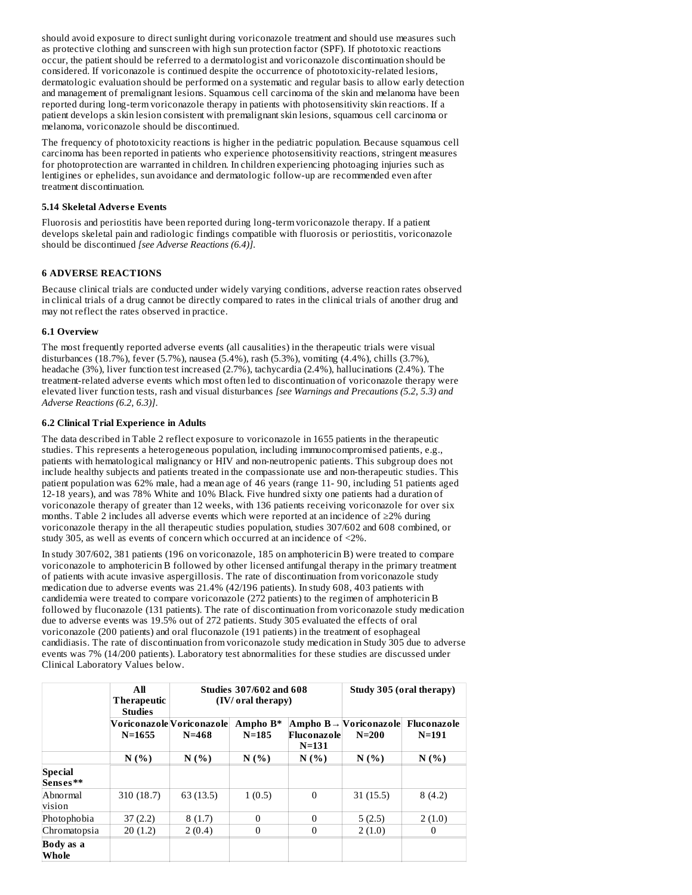should avoid exposure to direct sunlight during voriconazole treatment and should use measures such as protective clothing and sunscreen with high sun protection factor (SPF). If phototoxic reactions occur, the patient should be referred to a dermatologist and voriconazole discontinuation should be considered. If voriconazole is continued despite the occurrence of phototoxicity-related lesions, dermatologic evaluation should be performed on a systematic and regular basis to allow early detection and management of premalignant lesions. Squamous cell carcinoma of the skin and melanoma have been reported during long-term voriconazole therapy in patients with photosensitivity skin reactions. If a patient develops a skin lesion consistent with premalignant skin lesions, squamous cell carcinoma or melanoma, voriconazole should be discontinued.

The frequency of phototoxicity reactions is higher in the pediatric population. Because squamous cell carcinoma has been reported in patients who experience photosensitivity reactions, stringent measures for photoprotection are warranted in children. In children experiencing photoaging injuries such as lentigines or ephelides, sun avoidance and dermatologic follow-up are recommended even after treatment discontinuation.

### **5.14 Skeletal Advers e Events**

Fluorosis and periostitis have been reported during long-term voriconazole therapy. If a patient develops skeletal pain and radiologic findings compatible with fluorosis or periostitis, voriconazole should be discontinued *[see Adverse Reactions (6.4)]*.

## **6 ADVERSE REACTIONS**

Because clinical trials are conducted under widely varying conditions, adverse reaction rates observed in clinical trials of a drug cannot be directly compared to rates in the clinical trials of another drug and may not reflect the rates observed in practice.

### **6.1 Overview**

The most frequently reported adverse events (all causalities) in the therapeutic trials were visual disturbances (18.7%), fever (5.7%), nausea (5.4%), rash (5.3%), vomiting (4.4%), chills (3.7%), headache (3%), liver function test increased (2.7%), tachycardia (2.4%), hallucinations (2.4%). The treatment-related adverse events which most often led to discontinuation of voriconazole therapy were elevated liver function tests, rash and visual disturbances *[see Warnings and Precautions (5.2, 5.3) and Adverse Reactions (6.2, 6.3)]*.

### **6.2 Clinical Trial Experience in Adults**

The data described in Table 2 reflect exposure to voriconazole in 1655 patients in the therapeutic studies. This represents a heterogeneous population, including immunocompromised patients, e.g., patients with hematological malignancy or HIV and non-neutropenic patients. This subgroup does not include healthy subjects and patients treated in the compassionate use and non-therapeutic studies. This patient population was 62% male, had a mean age of 46 years (range 11- 90, including 51 patients aged 12-18 years), and was 78% White and 10% Black. Five hundred sixty one patients had a duration of voriconazole therapy of greater than 12 weeks, with 136 patients receiving voriconazole for over six months. Table 2 includes all adverse events which were reported at an incidence of ≥2% during voriconazole therapy in the all therapeutic studies population, studies 307/602 and 608 combined, or study 305, as well as events of concern which occurred at an incidence of <2%.

In study 307/602, 381 patients (196 on voriconazole, 185 on amphotericin B) were treated to compare voriconazole to amphotericin B followed by other licensed antifungal therapy in the primary treatment of patients with acute invasive aspergillosis. The rate of discontinuation from voriconazole study medication due to adverse events was 21.4% (42/196 patients). In study 608, 403 patients with candidemia were treated to compare voriconazole (272 patients) to the regimen of amphotericin B followed by fluconazole (131 patients). The rate of discontinuation from voriconazole study medication due to adverse events was 19.5% out of 272 patients. Study 305 evaluated the effects of oral voriconazole (200 patients) and oral fluconazole (191 patients) in the treatment of esophageal candidiasis. The rate of discontinuation from voriconazole study medication in Study 305 due to adverse events was 7% (14/200 patients). Laboratory test abnormalities for these studies are discussed under Clinical Laboratory Values below.

|                     | All<br><b>Therapeutic</b><br><b>Studies</b> | <b>Studies 307/602 and 608</b><br>(IV/ oral therapy) |                       |                          | Study 305 (oral therapy)                          |                          |
|---------------------|---------------------------------------------|------------------------------------------------------|-----------------------|--------------------------|---------------------------------------------------|--------------------------|
|                     | $N = 1655$                                  | Voriconazole Voriconazole <br>N=468                  | Ampho B*<br>$N = 185$ | Fluconazole<br>$N = 131$ | Ampho $B \rightarrow$ [Voriconazole]<br>$N = 200$ | Fluconazole<br>$N = 191$ |
|                     | N(% )                                       | N(%                                                  | N(% )                 | N(%                      | N(%                                               | N(%                      |
| Special<br>Senses** |                                             |                                                      |                       |                          |                                                   |                          |
| Abnormal<br>vision  | 310 (18.7)                                  | 63(13.5)                                             | 1(0.5)                | $\mathbf{0}$             | 31(15.5)                                          | 8(4.2)                   |
| Photophobia         | 37(2.2)                                     | 8(1.7)                                               | $\theta$              | $\Omega$                 | 5(2.5)                                            | 2(1.0)                   |
| Chromatopsia        | 20(1.2)                                     | 2(0.4)                                               | $\theta$              | $\Omega$                 | 2(1.0)                                            | 0                        |
| Body as a<br>Whole  |                                             |                                                      |                       |                          |                                                   |                          |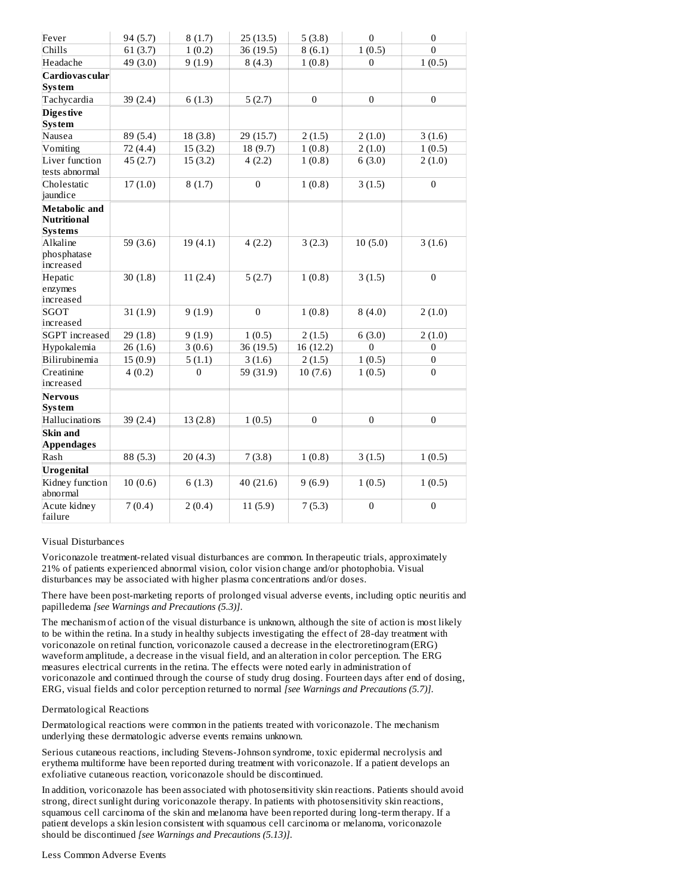| Fever                                                        | 94 (5.7)   | 8(1.7)   | 25(13.5)     | 5(3.8)    | $\overline{0}$ | $\mathbf{0}$     |
|--------------------------------------------------------------|------------|----------|--------------|-----------|----------------|------------------|
| Chills                                                       | 61(3.7)    | 1(0.2)   | 36 (19.5)    | 8(6.1)    | 1(0.5)         | $\theta$         |
| Headache                                                     | 49 (3.0)   | 9(1.9)   | 8(4.3)       | 1(0.8)    | $\Omega$       | 1(0.5)           |
| Cardiovas cular                                              |            |          |              |           |                |                  |
| <b>System</b>                                                |            |          |              |           |                |                  |
| Tachycardia                                                  | 39(2.4)    | 6(1.3)   | 5(2.7)       | $\Omega$  | $\mathbf{0}$   | $\mathbf{0}$     |
| <b>Diges tive</b><br><b>System</b>                           |            |          |              |           |                |                  |
| Nausea                                                       | 89 (5.4)   | 18(3.8)  | 29 (15.7)    | 2(1.5)    | 2(1.0)         | 3(1.6)           |
| Vomiting                                                     | 72 (4.4)   | 15(3.2)  | 18 (9.7)     | 1(0.8)    | 2(1.0)         | 1(0.5)           |
| Liver function<br>tests abnormal                             | 45(2.7)    | 15(3.2)  | 4(2.2)       | 1(0.8)    | 6(3.0)         | 2(1.0)           |
| Cholestatic<br>jaundice                                      | 17(1.0)    | 8(1.7)   | $\mathbf{0}$ | 1(0.8)    | 3(1.5)         | $\mathbf{0}$     |
| <b>Metabolic</b> and<br><b>Nutritional</b><br><b>Systems</b> |            |          |              |           |                |                  |
| Alkaline<br>phosphatase<br>increased                         | 59 $(3.6)$ | 19(4.1)  | 4(2.2)       | 3(2.3)    | 10(5.0)        | 3(1.6)           |
| Hepatic<br>enzymes<br>increased                              | 30(1.8)    | 11(2.4)  | 5(2.7)       | 1(0.8)    | 3(1.5)         | $\overline{0}$   |
| <b>SGOT</b><br>increased                                     | 31(1.9)    | 9(1.9)   | $\mathbf{0}$ | 1(0.8)    | 8(4.0)         | 2(1.0)           |
| <b>SGPT</b> increased                                        | 29(1.8)    | 9(1.9)   | 1(0.5)       | 2(1.5)    | 6(3.0)         | 2(1.0)           |
| Hypokalemia                                                  | 26(1.6)    | 3(0.6)   | 36 (19.5)    | 16 (12.2) | $\Omega$       | $\boldsymbol{0}$ |
| Bilirubinemia                                                | 15(0.9)    | 5(1.1)   | 3(1.6)       | 2(1.5)    | 1(0.5)         | 0                |
| Creatinine<br>increased                                      | 4(0.2)     | $\Omega$ | 59 (31.9)    | 10(7.6)   | 1(0.5)         | $\theta$         |
| <b>Nervous</b><br><b>System</b>                              |            |          |              |           |                |                  |
| Hallucinations                                               | 39 (2.4)   | 13(2.8)  | 1(0.5)       | $\Omega$  | $\Omega$       | $\Omega$         |
| <b>Skin and</b><br><b>Appendages</b>                         |            |          |              |           |                |                  |
| Rash                                                         | 88 (5.3)   | 20(4.3)  | 7(3.8)       | 1(0.8)    | 3(1.5)         | 1(0.5)           |
| <b>Urogenital</b>                                            |            |          |              |           |                |                  |
| Kidney function<br>abnormal                                  | 10(0.6)    | 6(1.3)   | 40(21.6)     | 9(6.9)    | 1(0.5)         | 1(0.5)           |
| Acute kidney<br>failure                                      | 7(0.4)     | 2(0.4)   | 11(5.9)      | 7(5.3)    | $\mathbf{0}$   | $\mathbf{0}$     |

Visual Disturbances

Voriconazole treatment-related visual disturbances are common. In therapeutic trials, approximately 21% of patients experienced abnormal vision, color vision change and/or photophobia. Visual disturbances may be associated with higher plasma concentrations and/or doses.

There have been post-marketing reports of prolonged visual adverse events, including optic neuritis and papilledema *[see Warnings and Precautions (5.3)]*.

The mechanism of action of the visual disturbance is unknown, although the site of action is most likely to be within the retina. In a study in healthy subjects investigating the effect of 28-day treatment with voriconazole on retinal function, voriconazole caused a decrease in the electroretinogram (ERG) waveform amplitude, a decrease in the visual field, and an alteration in color perception. The ERG measures electrical currents in the retina. The effects were noted early in administration of voriconazole and continued through the course of study drug dosing. Fourteen days after end of dosing, ERG, visual fields and color perception returned to normal *[see Warnings and Precautions (5.7)]*.

### Dermatological Reactions

Dermatological reactions were common in the patients treated with voriconazole. The mechanism underlying these dermatologic adverse events remains unknown.

Serious cutaneous reactions, including Stevens-Johnson syndrome, toxic epidermal necrolysis and erythema multiforme have been reported during treatment with voriconazole. If a patient develops an exfoliative cutaneous reaction, voriconazole should be discontinued.

In addition, voriconazole has been associated with photosensitivity skin reactions. Patients should avoid strong, direct sunlight during voriconazole therapy. In patients with photosensitivity skin reactions, squamous cell carcinoma of the skin and melanoma have been reported during long-term therapy. If a patient develops a skin lesion consistent with squamous cell carcinoma or melanoma, voriconazole should be discontinued *[see Warnings and Precautions (5.13)]*.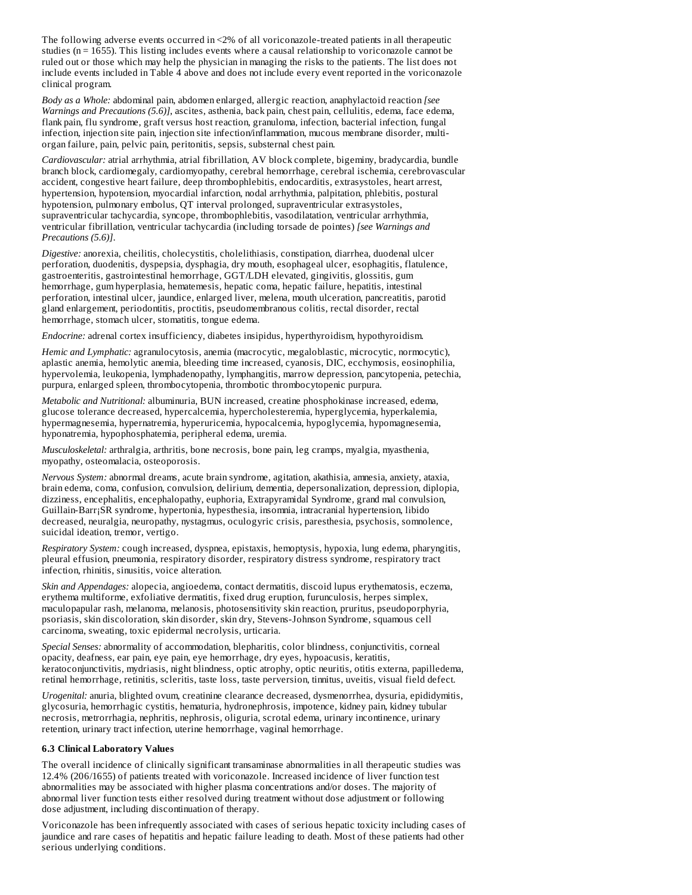The following adverse events occurred in <2% of all voriconazole-treated patients in all therapeutic studies ( $n = 1655$ ). This listing includes events where a causal relationship to voriconazole cannot be ruled out or those which may help the physician in managing the risks to the patients. The list does not include events included in Table 4 above and does not include every event reported in the voriconazole clinical program.

*Body as a Whole:* abdominal pain, abdomen enlarged, allergic reaction, anaphylactoid reaction *[see Warnings and Precautions (5.6)]*, ascites, asthenia, back pain, chest pain, cellulitis, edema, face edema, flank pain, flu syndrome, graft versus host reaction, granuloma, infection, bacterial infection, fungal infection, injection site pain, injection site infection/inflammation, mucous membrane disorder, multiorgan failure, pain, pelvic pain, peritonitis, sepsis, substernal chest pain.

*Cardiovascular:* atrial arrhythmia, atrial fibrillation, AV block complete, bigeminy, bradycardia, bundle branch block, cardiomegaly, cardiomyopathy, cerebral hemorrhage, cerebral ischemia, cerebrovascular accident, congestive heart failure, deep thrombophlebitis, endocarditis, extrasystoles, heart arrest, hypertension, hypotension, myocardial infarction, nodal arrhythmia, palpitation, phlebitis, postural hypotension, pulmonary embolus, QT interval prolonged, supraventricular extrasystoles, supraventricular tachycardia, syncope, thrombophlebitis, vasodilatation, ventricular arrhythmia, ventricular fibrillation, ventricular tachycardia (including torsade de pointes) *[see Warnings and Precautions (5.6)]*.

*Digestive:* anorexia, cheilitis, cholecystitis, cholelithiasis, constipation, diarrhea, duodenal ulcer perforation, duodenitis, dyspepsia, dysphagia, dry mouth, esophageal ulcer, esophagitis, flatulence, gastroenteritis, gastrointestinal hemorrhage, GGT/LDH elevated, gingivitis, glossitis, gum hemorrhage, gum hyperplasia, hematemesis, hepatic coma, hepatic failure, hepatitis, intestinal perforation, intestinal ulcer, jaundice, enlarged liver, melena, mouth ulceration, pancreatitis, parotid gland enlargement, periodontitis, proctitis, pseudomembranous colitis, rectal disorder, rectal hemorrhage, stomach ulcer, stomatitis, tongue edema.

*Endocrine:* adrenal cortex insufficiency, diabetes insipidus, hyperthyroidism, hypothyroidism.

*Hemic and Lymphatic:* agranulocytosis, anemia (macrocytic, megaloblastic, microcytic, normocytic), aplastic anemia, hemolytic anemia, bleeding time increased, cyanosis, DIC, ecchymosis, eosinophilia, hypervolemia, leukopenia, lymphadenopathy, lymphangitis, marrow depression, pancytopenia, petechia, purpura, enlarged spleen, thrombocytopenia, thrombotic thrombocytopenic purpura.

*Metabolic and Nutritional:* albuminuria, BUN increased, creatine phosphokinase increased, edema, glucose tolerance decreased, hypercalcemia, hypercholesteremia, hyperglycemia, hyperkalemia, hypermagnesemia, hypernatremia, hyperuricemia, hypocalcemia, hypoglycemia, hypomagnesemia, hyponatremia, hypophosphatemia, peripheral edema, uremia.

*Musculoskeletal:* arthralgia, arthritis, bone necrosis, bone pain, leg cramps, myalgia, myasthenia, myopathy, osteomalacia, osteoporosis.

*Nervous System:* abnormal dreams, acute brain syndrome, agitation, akathisia, amnesia, anxiety, ataxia, brain edema, coma, confusion, convulsion, delirium, dementia, depersonalization, depression, diplopia, dizziness, encephalitis, encephalopathy, euphoria, Extrapyramidal Syndrome, grand mal convulsion, Guillain-Barr¡SR syndrome, hypertonia, hypesthesia, insomnia, intracranial hypertension, libido decreased, neuralgia, neuropathy, nystagmus, oculogyric crisis, paresthesia, psychosis, somnolence, suicidal ideation, tremor, vertigo.

*Respiratory System:* cough increased, dyspnea, epistaxis, hemoptysis, hypoxia, lung edema, pharyngitis, pleural effusion, pneumonia, respiratory disorder, respiratory distress syndrome, respiratory tract infection, rhinitis, sinusitis, voice alteration.

*Skin and Appendages:* alopecia, angioedema, contact dermatitis, discoid lupus erythematosis, eczema, erythema multiforme, exfoliative dermatitis, fixed drug eruption, furunculosis, herpes simplex, maculopapular rash, melanoma, melanosis, photosensitivity skin reaction, pruritus, pseudoporphyria, psoriasis, skin discoloration, skin disorder, skin dry, Stevens-Johnson Syndrome, squamous cell carcinoma, sweating, toxic epidermal necrolysis, urticaria.

*Special Senses:* abnormality of accommodation, blepharitis, color blindness, conjunctivitis, corneal opacity, deafness, ear pain, eye pain, eye hemorrhage, dry eyes, hypoacusis, keratitis, keratoconjunctivitis, mydriasis, night blindness, optic atrophy, optic neuritis, otitis externa, papilledema, retinal hemorrhage, retinitis, scleritis, taste loss, taste perversion, tinnitus, uveitis, visual field defect.

*Urogenital:* anuria, blighted ovum, creatinine clearance decreased, dysmenorrhea, dysuria, epididymitis, glycosuria, hemorrhagic cystitis, hematuria, hydronephrosis, impotence, kidney pain, kidney tubular necrosis, metrorrhagia, nephritis, nephrosis, oliguria, scrotal edema, urinary incontinence, urinary retention, urinary tract infection, uterine hemorrhage, vaginal hemorrhage.

### **6.3 Clinical Laboratory Values**

The overall incidence of clinically significant transaminase abnormalities in all therapeutic studies was 12.4% (206/1655) of patients treated with voriconazole. Increased incidence of liver function test abnormalities may be associated with higher plasma concentrations and/or doses. The majority of abnormal liver function tests either resolved during treatment without dose adjustment or following dose adjustment, including discontinuation of therapy.

Voriconazole has been infrequently associated with cases of serious hepatic toxicity including cases of jaundice and rare cases of hepatitis and hepatic failure leading to death. Most of these patients had other serious underlying conditions.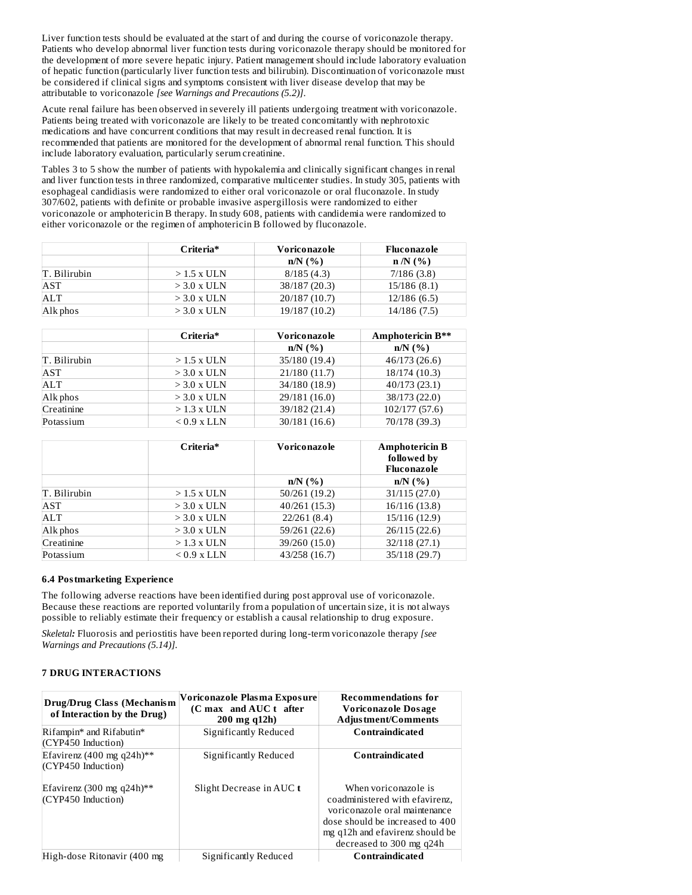Liver function tests should be evaluated at the start of and during the course of voriconazole therapy. Patients who develop abnormal liver function tests during voriconazole therapy should be monitored for the development of more severe hepatic injury. Patient management should include laboratory evaluation of hepatic function (particularly liver function tests and bilirubin). Discontinuation of voriconazole must be considered if clinical signs and symptoms consistent with liver disease develop that may be attributable to voriconazole *[see Warnings and Precautions (5.2)]*.

Acute renal failure has been observed in severely ill patients undergoing treatment with voriconazole. Patients being treated with voriconazole are likely to be treated concomitantly with nephrotoxic medications and have concurrent conditions that may result in decreased renal function. It is recommended that patients are monitored for the development of abnormal renal function. This should include laboratory evaluation, particularly serum creatinine.

Tables 3 to 5 show the number of patients with hypokalemia and clinically significant changes in renal and liver function tests in three randomized, comparative multicenter studies. In study 305, patients with esophageal candidiasis were randomized to either oral voriconazole or oral fluconazole. In study 307/602, patients with definite or probable invasive aspergillosis were randomized to either voriconazole or amphotericin B therapy. In study 608, patients with candidemia were randomized to either voriconazole or the regimen of amphotericin B followed by fluconazole.

|              | Criteria*     | Voriconazole  | Fluconazole  |
|--------------|---------------|---------------|--------------|
|              |               | $n/N$ (%)     | $n/N$ (%)    |
| T. Bilirubin | $>1.5$ x ULN  | 8/185(4.3)    | 7/186(3.8)   |
| AST          | $>$ 3.0 x ULN | 38/187 (20.3) | 15/186(8.1)  |
| ALT          | $>$ 3.0 x ULN | 20/187 (10.7) | 12/186(6.5)  |
| Alk phos     | $>$ 3.0 x ULN | 19/187 (10.2) | 14/186 (7.5) |

|              | Criteria*     | Voriconazole  | <b>Amphotericin B**</b> |
|--------------|---------------|---------------|-------------------------|
|              |               | $n/N$ $(\% )$ | $n/N$ $(\% )$           |
| T. Bilirubin | $>1.5$ x ULN  | 35/180 (19.4) | 46/173 (26.6)           |
| AST          | $>$ 3.0 x ULN | 21/180 (11.7) | 18/174 (10.3)           |
| <b>ALT</b>   | $>$ 3.0 x ULN | 34/180 (18.9) | 40/173 (23.1)           |
| Alk phos     | $>$ 3.0 x ULN | 29/181 (16.0) | 38/173 (22.0)           |
| Creatinine   | $>1.3$ x ULN  | 39/182 (21.4) | 102/177 (57.6)          |
| Potassium    | $< 0.9$ x LLN | 30/181(16.6)  | 70/178 (39.3)           |

|              | Criteria*     | Voriconazole  | <b>Amphotericin B</b><br>followed by<br>Fluconazole |
|--------------|---------------|---------------|-----------------------------------------------------|
|              |               | $n/N$ $(\% )$ | $n/N$ (%)                                           |
| T. Bilirubin | $>1.5$ x ULN  | 50/261 (19.2) | 31/115 (27.0)                                       |
| AST          | $>$ 3.0 x ULN | 40/261 (15.3) | 16/116 (13.8)                                       |
| ALT          | $>$ 3.0 x ULN | 22/261(8.4)   | 15/116 (12.9)                                       |
| Alk phos     | $>$ 3.0 x ULN | 59/261 (22.6) | 26/115(22.6)                                        |
| Creatinine   | $>1.3$ x ULN  | 39/260 (15.0) | 32/118 (27.1)                                       |
| Potassium    | $< 0.9$ x LLN | 43/258 (16.7) | 35/118 (29.7)                                       |

## **6.4 Postmarketing Experience**

The following adverse reactions have been identified during post approval use of voriconazole. Because these reactions are reported voluntarily from a population of uncertain size, it is not always possible to reliably estimate their frequency or establish a causal relationship to drug exposure.

*Skeletal:* Fluorosis and periostitis have been reported during long-term voriconazole therapy *[see Warnings and Precautions (5.14)]*.

## **7 DRUG INTERACTIONS**

| Drug/Drug Class (Mechanism<br>of Interaction by the Drug) | Voriconazole Plasma Exposure<br>(C max and AUC t after<br>200 mg q12h) | <b>Recommendations for</b><br>Voriconazole Dosage<br>Adjustment/Comments                                                                                                                  |
|-----------------------------------------------------------|------------------------------------------------------------------------|-------------------------------------------------------------------------------------------------------------------------------------------------------------------------------------------|
| Rifampin* and Rifabutin*<br>(CYP450 Induction)            | Significantly Reduced                                                  | Contraindicated                                                                                                                                                                           |
| Efavirenz (400 mg q24h)**<br>(CYP450 Induction)           | Significantly Reduced                                                  | Contraindicated                                                                                                                                                                           |
| Efavirenz (300 mg q24h)**<br>(CYP450 Induction)           | Slight Decrease in AUC t                                               | When voriconazole is<br>coadministered with efavirenz.<br>voriconazole oral maintenance<br>dose should be increased to 400<br>mg q12h and efavirenz should be<br>decreased to 300 mg q24h |
| High-dose Ritonavir (400 mg                               | Significantly Reduced                                                  | Contraindicated                                                                                                                                                                           |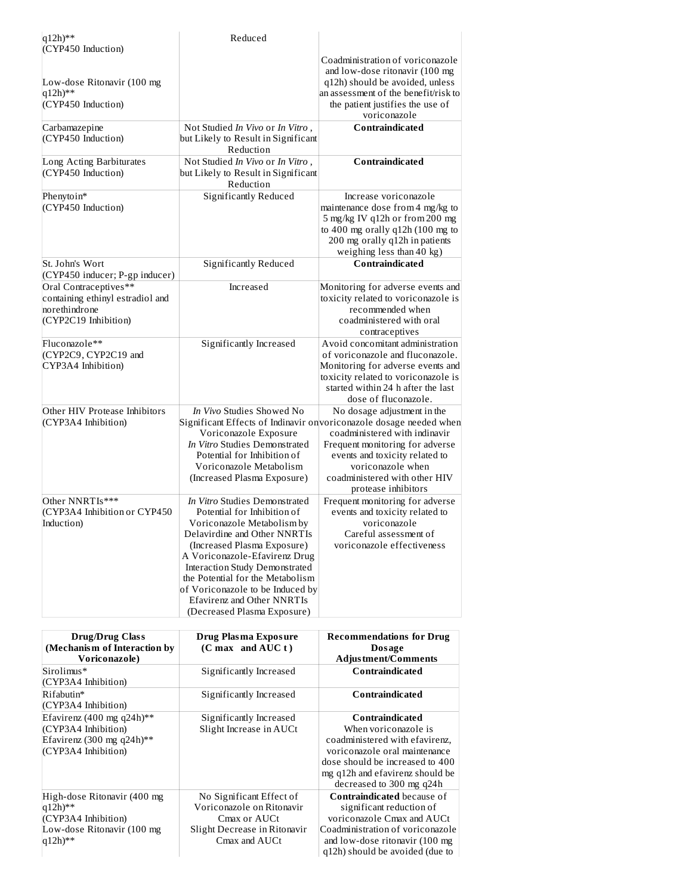| $q12h)$ **                                                                                         | Reduced                                                                                                                                                                                                                                                                                                                                                                         |                                                                                                                                                                                                                                                                                       |
|----------------------------------------------------------------------------------------------------|---------------------------------------------------------------------------------------------------------------------------------------------------------------------------------------------------------------------------------------------------------------------------------------------------------------------------------------------------------------------------------|---------------------------------------------------------------------------------------------------------------------------------------------------------------------------------------------------------------------------------------------------------------------------------------|
| (CYP450 Induction)                                                                                 |                                                                                                                                                                                                                                                                                                                                                                                 | Coadministration of voriconazole<br>and low-dose ritonavir (100 mg)                                                                                                                                                                                                                   |
| Low-dose Ritonavir (100 mg<br>$q12h)$ **<br>(CYP450 Induction)                                     |                                                                                                                                                                                                                                                                                                                                                                                 | q12h) should be avoided, unless<br>an assessment of the benefit/risk to<br>the patient justifies the use of                                                                                                                                                                           |
|                                                                                                    |                                                                                                                                                                                                                                                                                                                                                                                 | voriconazole<br>Contraindicated                                                                                                                                                                                                                                                       |
| Carbamazepine<br>(CYP450 Induction)                                                                | Not Studied In Vivo or In Vitro,<br>but Likely to Result in Significant<br>Reduction                                                                                                                                                                                                                                                                                            |                                                                                                                                                                                                                                                                                       |
| Long Acting Barbiturates<br>(CYP450 Induction)                                                     | Not Studied In Vivo or In Vitro,<br>but Likely to Result in Significant<br>Reduction                                                                                                                                                                                                                                                                                            | Contraindicated                                                                                                                                                                                                                                                                       |
| Phenytoin*<br>(CYP450 Induction)                                                                   | Significantly Reduced                                                                                                                                                                                                                                                                                                                                                           | Increase voriconazole<br>maintenance dose from 4 mg/kg to<br>5 mg/kg IV q12h or from 200 mg<br>to 400 mg orally q12h (100 mg to<br>200 mg orally q12h in patients<br>weighing less than 40 kg)                                                                                        |
| St. John's Wort<br>(CYP450 inducer; P-gp inducer)                                                  | <b>Significantly Reduced</b>                                                                                                                                                                                                                                                                                                                                                    | Contraindicated                                                                                                                                                                                                                                                                       |
| Oral Contraceptives**<br>containing ethinyl estradiol and<br>norethindrone<br>(CYP2C19 Inhibition) | Increased                                                                                                                                                                                                                                                                                                                                                                       | Monitoring for adverse events and<br>toxicity related to voriconazole is<br>recommended when<br>coadministered with oral<br>contraceptives                                                                                                                                            |
| Fluconazole**<br>(CYP2C9, CYP2C19 and<br>CYP3A4 Inhibition)                                        | Significantly Increased                                                                                                                                                                                                                                                                                                                                                         | Avoid concomitant administration<br>of voriconazole and fluconazole.<br>Monitoring for adverse events and<br>toxicity related to voriconazole is<br>started within 24 h after the last<br>dose of fluconazole.                                                                        |
| Other HIV Protease Inhibitors<br>(CYP3A4 Inhibition)                                               | In Vivo Studies Showed No<br>Voriconazole Exposure<br>In Vitro Studies Demonstrated<br>Potential for Inhibition of<br>Voriconazole Metabolism<br>(Increased Plasma Exposure)                                                                                                                                                                                                    | No dosage adjustment in the<br>Significant Effects of Indinavir on voriconazole dosage needed when<br>coadministered with indinavir<br>Frequent monitoring for adverse<br>events and toxicity related to<br>voriconazole when<br>coadministered with other HIV<br>protease inhibitors |
| Other NNRTIs***<br>(CYP3A4 Inhibition or CYP450<br>Induction)                                      | In Vitro Studies Demonstrated<br>Potential for Inhibition of<br>Voriconazole Metabolism by<br>Delavirdine and Other NNRTIs<br>(Increased Plasma Exposure)<br>A Voriconazole-Efavirenz Drug<br><b>Interaction Study Demonstrated</b><br>the Potential for the Metabolism<br>of Voriconazole to be Induced by<br><b>Efavirenz and Other NNRTIs</b><br>(Decreased Plasma Exposure) | Frequent monitoring for adverse<br>events and toxicity related to<br>voriconazole<br>Careful assessment of<br>voriconazole effectiveness                                                                                                                                              |

| <b>Drug/Drug Class</b><br>(Mechanism of Interaction by<br>Voriconazole)                                                | Drug Plasma Exposure<br>$(C \max \mod AUC t)$                                                                          | <b>Recommendations for Drug</b><br>Dosage<br><b>Adjustment/Comments</b>                                                                                                                                      |
|------------------------------------------------------------------------------------------------------------------------|------------------------------------------------------------------------------------------------------------------------|--------------------------------------------------------------------------------------------------------------------------------------------------------------------------------------------------------------|
| Sirolimus*<br>(CYP3A4 Inhibition)                                                                                      | Significantly Increased                                                                                                | <b>Contraindicated</b>                                                                                                                                                                                       |
| Rifabutin*<br>(CYP3A4 Inhibition)                                                                                      | Significantly Increased                                                                                                | Contraindicated                                                                                                                                                                                              |
| Efavirenz (400 mg q24h)**<br>(CYP3A4 Inhibition)<br>Efavirenz (300 mg q24h)**<br>(CYP3A4 Inhibition)                   | Significantly Increased<br>Slight Increase in AUCt                                                                     | Contraindicated<br>When voriconazole is<br>coadministered with efavirenz,<br>voriconazole oral maintenance<br>dose should be increased to 400<br>mg q12h and efavirenz should be<br>decreased to 300 mg q24h |
| High-dose Ritonavir (400 mg<br>$q12h$ <sup>**</sup><br>(CYP3A4 Inhibition)<br>Low-dose Ritonavir (100 mg<br>$q12h)$ ** | No Significant Effect of<br>Voriconazole on Ritonavir<br>Cmax or AUCt<br>Slight Decrease in Ritonavir<br>Cmax and AUCt | <b>Contraindicated because of</b><br>significant reduction of<br>voriconazole Cmax and AUCt<br>Coadministration of voriconazole<br>and low-dose ritonavir (100 mg)<br>q12h) should be avoided (due to        |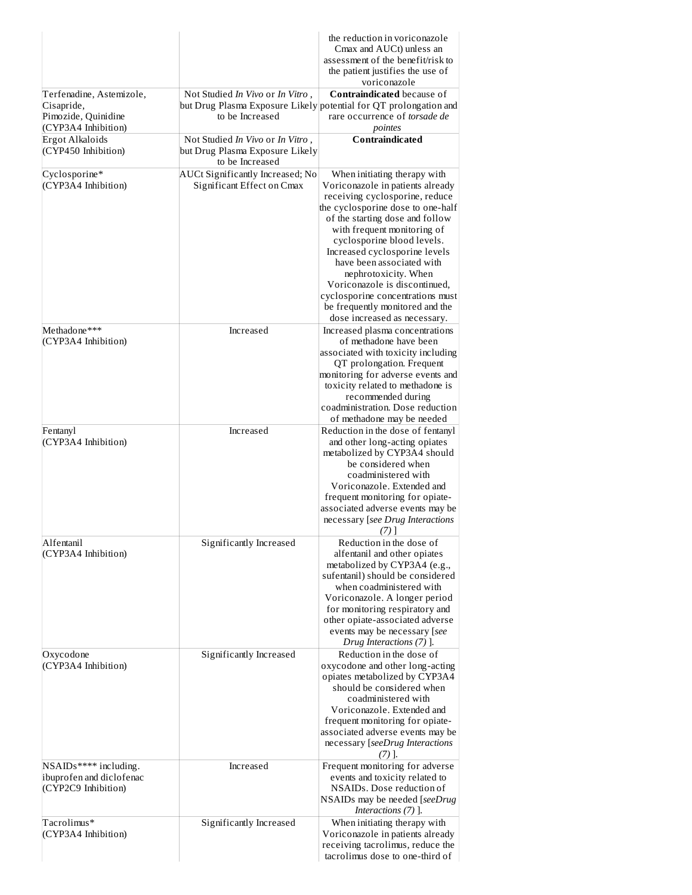|                                                                           |                                                                                        | the reduction in voriconazole<br>Cmax and AUCt) unless an<br>assessment of the benefit/risk to<br>the patient justifies the use of<br>voriconazole                                                                                                                                                                                                                                                                                                                    |
|---------------------------------------------------------------------------|----------------------------------------------------------------------------------------|-----------------------------------------------------------------------------------------------------------------------------------------------------------------------------------------------------------------------------------------------------------------------------------------------------------------------------------------------------------------------------------------------------------------------------------------------------------------------|
| Terfenadine, Astemizole,<br>Cisapride,<br>Pimozide, Quinidine             | Not Studied In Vivo or In Vitro,<br>to be Increased                                    | <b>Contraindicated because of</b><br>but Drug Plasma Exposure Likely potential for QT prolongation and<br>rare occurrence of torsade de                                                                                                                                                                                                                                                                                                                               |
| (CYP3A4 Inhibition)<br><b>Ergot Alkaloids</b><br>(CYP450 Inhibition)      | Not Studied In Vivo or In Vitro,<br>but Drug Plasma Exposure Likely<br>to be Increased | pointes<br><b>Contraindicated</b>                                                                                                                                                                                                                                                                                                                                                                                                                                     |
| Cyclosporine*<br>(CYP3A4 Inhibition)                                      | AUCt Significantly Increased; No<br>Significant Effect on Cmax                         | When initiating therapy with<br>Voriconazole in patients already<br>receiving cyclosporine, reduce<br>the cyclosporine dose to one-half<br>of the starting dose and follow<br>with frequent monitoring of<br>cyclosporine blood levels.<br>Increased cyclosporine levels<br>have been associated with<br>nephrotoxicity. When<br>Voriconazole is discontinued,<br>cyclosporine concentrations must<br>be frequently monitored and the<br>dose increased as necessary. |
| Methadone***<br>(CYP3A4 Inhibition)                                       | Increased                                                                              | Increased plasma concentrations<br>of methadone have been<br>associated with toxicity including<br>QT prolongation. Frequent<br>monitoring for adverse events and<br>toxicity related to methadone is<br>recommended during<br>coadministration. Dose reduction                                                                                                                                                                                                       |
| Fentanyl<br>(CYP3A4 Inhibition)                                           | Increased                                                                              | of methadone may be needed<br>Reduction in the dose of fentanyl<br>and other long-acting opiates<br>metabolized by CYP3A4 should<br>be considered when<br>coadministered with<br>Voriconazole. Extended and<br>frequent monitoring for opiate-<br>associated adverse events may be<br>necessary [see Drug Interactions<br>(7) I                                                                                                                                       |
| Alfentanil<br>(CYP3A4 Inhibition)                                         | Significantly Increased                                                                | Reduction in the dose of<br>alfentanil and other opiates<br>metabolized by CYP3A4 (e.g.,<br>sufentanil) should be considered<br>when coadministered with<br>Voriconazole. A longer period<br>for monitoring respiratory and<br>other opiate-associated adverse<br>events may be necessary [see<br>Drug Interactions (7) ].                                                                                                                                            |
| Oxycodone<br>(CYP3A4 Inhibition)                                          | Significantly Increased                                                                | Reduction in the dose of<br>oxycodone and other long-acting<br>opiates metabolized by CYP3A4<br>should be considered when<br>coadministered with<br>Voriconazole. Extended and<br>frequent monitoring for opiate-<br>associated adverse events may be<br>necessary [seeDrug Interactions<br>77 I.                                                                                                                                                                     |
| NSAIDs***** including.<br>ibuprofen and diclofenac<br>(CYP2C9 Inhibition) | Increased                                                                              | Frequent monitoring for adverse<br>events and toxicity related to<br>NSAIDs. Dose reduction of<br>NSAIDs may be needed [seeDrug<br>Interactions (7) ].                                                                                                                                                                                                                                                                                                                |
| Tacrolimus*<br>(CYP3A4 Inhibition)                                        | Significantly Increased                                                                | When initiating therapy with<br>Voriconazole in patients already<br>receiving tacrolimus, reduce the<br>tacrolimus dose to one-third of                                                                                                                                                                                                                                                                                                                               |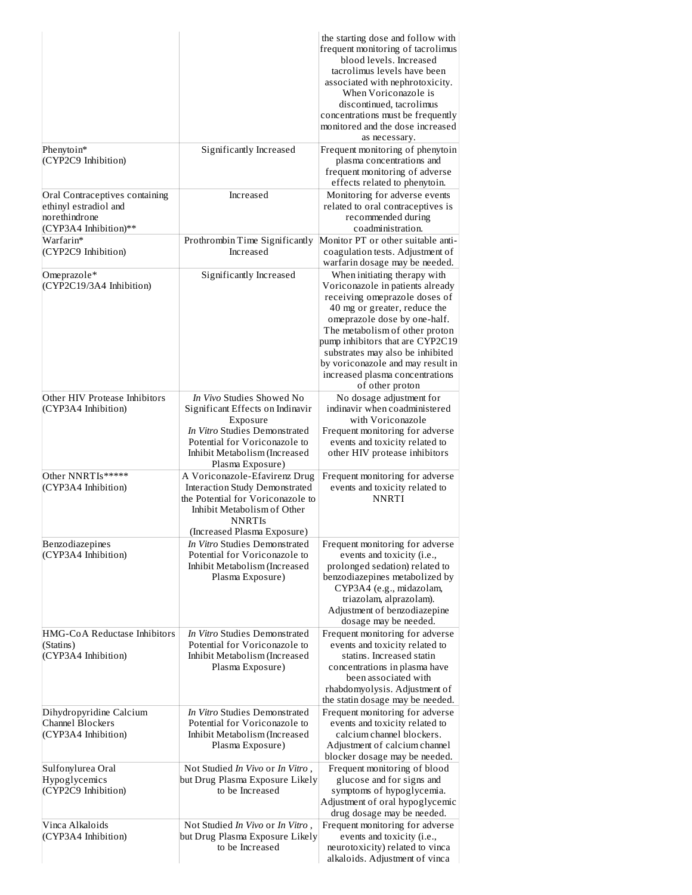|                                                                                                   |                                                                                                                                                                                                  | the starting dose and follow with<br>frequent monitoring of tacrolimus<br>blood levels. Increased<br>tacrolimus levels have been<br>associated with nephrotoxicity.<br>When Voriconazole is<br>discontinued, tacrolimus<br>concentrations must be frequently<br>monitored and the dose increased<br>as necessary.                                                      |
|---------------------------------------------------------------------------------------------------|--------------------------------------------------------------------------------------------------------------------------------------------------------------------------------------------------|------------------------------------------------------------------------------------------------------------------------------------------------------------------------------------------------------------------------------------------------------------------------------------------------------------------------------------------------------------------------|
| Phenytoin*<br>(CYP2C9 Inhibition)                                                                 | Significantly Increased                                                                                                                                                                          | Frequent monitoring of phenytoin<br>plasma concentrations and<br>frequent monitoring of adverse<br>effects related to phenytoin.                                                                                                                                                                                                                                       |
| Oral Contraceptives containing<br>ethinyl estradiol and<br>norethindrone<br>(CYP3A4 Inhibition)** | Increased                                                                                                                                                                                        | Monitoring for adverse events<br>related to oral contraceptives is<br>recommended during<br>coadministration.                                                                                                                                                                                                                                                          |
| Warfarin*<br>(CYP2C9 Inhibition)                                                                  | Prothrombin Time Significantly<br>Increased                                                                                                                                                      | Monitor PT or other suitable anti-<br>coagulation tests. Adjustment of<br>warfarin dosage may be needed.                                                                                                                                                                                                                                                               |
| Omeprazole*<br>(CYP2C19/3A4 Inhibition)                                                           | Significantly Increased                                                                                                                                                                          | When initiating therapy with<br>Voriconazole in patients already<br>receiving omeprazole doses of<br>40 mg or greater, reduce the<br>omeprazole dose by one-half.<br>The metabolism of other proton<br>pump inhibitors that are CYP2C19<br>substrates may also be inhibited<br>by voriconazole and may result in<br>increased plasma concentrations<br>of other proton |
| Other HIV Protease Inhibitors<br>(CYP3A4 Inhibition)                                              | In Vivo Studies Showed No<br>Significant Effects on Indinavir<br>Exposure<br>In Vitro Studies Demonstrated<br>Potential for Voriconazole to<br>Inhibit Metabolism (Increased<br>Plasma Exposure) | No dosage adjustment for<br>indinavir when coadministered<br>with Voriconazole<br>Frequent monitoring for adverse<br>events and toxicity related to<br>other HIV protease inhibitors                                                                                                                                                                                   |
| Other NNRTIs*****<br>(CYP3A4 Inhibition)                                                          | A Voriconazole-Efavirenz Drug<br><b>Interaction Study Demonstrated</b><br>the Potential for Voriconazole to<br>Inhibit Metabolism of Other<br><b>NNRTIS</b><br>(Increased Plasma Exposure)       | Frequent monitoring for adverse<br>events and toxicity related to<br><b>NNRTI</b>                                                                                                                                                                                                                                                                                      |
| Benzodiazepines<br>(CYP3A4 Inhibition)                                                            | In Vitro Studies Demonstrated<br>Potential for Voriconazole to<br>Inhibit Metabolism (Increased<br>Plasma Exposure)                                                                              | Frequent monitoring for adverse<br>events and toxicity (i.e.,<br>prolonged sedation) related to<br>benzodiazepines metabolized by<br>CYP3A4 (e.g., midazolam,<br>triazolam, alprazolam).<br>Adjustment of benzodiazepine<br>dosage may be needed.                                                                                                                      |
| HMG-CoA Reductase Inhibitors<br>(Statins)<br>(CYP3A4 Inhibition)                                  | In Vitro Studies Demonstrated<br>Potential for Voriconazole to<br>Inhibit Metabolism (Increased<br>Plasma Exposure)                                                                              | Frequent monitoring for adverse<br>events and toxicity related to<br>statins. Increased statin<br>concentrations in plasma have<br>been associated with<br>rhabdomyolysis. Adjustment of<br>the statin dosage may be needed.                                                                                                                                           |
| Dihydropyridine Calcium<br><b>Channel Blockers</b><br>(CYP3A4 Inhibition)                         | In Vitro Studies Demonstrated<br>Potential for Voriconazole to<br>Inhibit Metabolism (Increased<br>Plasma Exposure)                                                                              | Frequent monitoring for adverse<br>events and toxicity related to<br>calcium channel blockers.<br>Adjustment of calcium channel<br>blocker dosage may be needed.                                                                                                                                                                                                       |
| Sulfonylurea Oral<br>Hypoglycemics<br>(CYP2C9 Inhibition)                                         | Not Studied In Vivo or In Vitro,<br>but Drug Plasma Exposure Likely<br>to be Increased                                                                                                           | Frequent monitoring of blood<br>glucose and for signs and<br>symptoms of hypoglycemia.<br>Adjustment of oral hypoglycemic<br>drug dosage may be needed.                                                                                                                                                                                                                |
| Vinca Alkaloids<br>(CYP3A4 Inhibition)                                                            | Not Studied In Vivo or In Vitro,<br>but Drug Plasma Exposure Likely<br>to be Increased                                                                                                           | Frequent monitoring for adverse<br>events and toxicity (i.e.,<br>neurotoxicity) related to vinca<br>alkaloids. Adjustment of vinca                                                                                                                                                                                                                                     |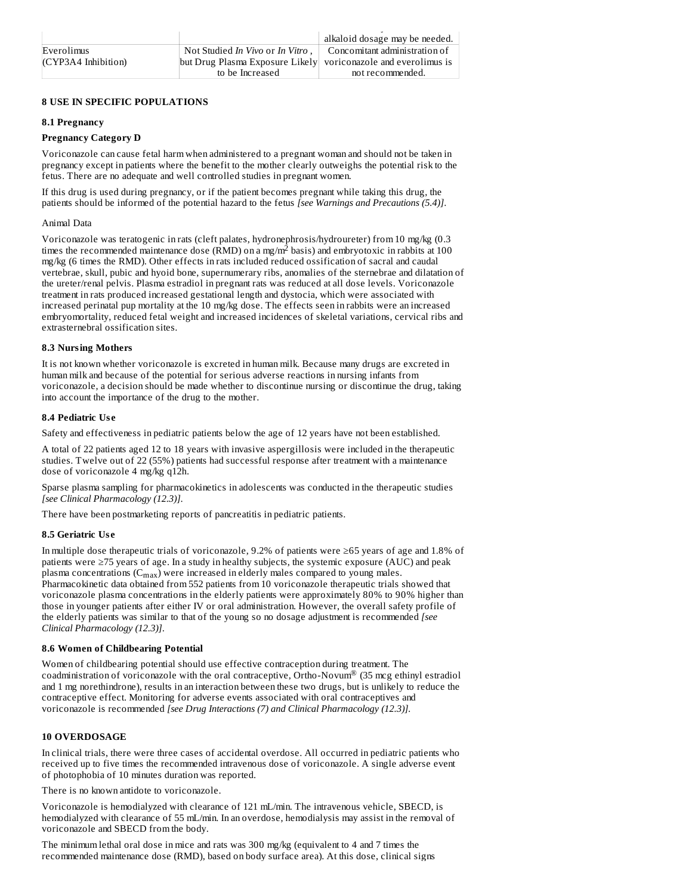|                     |                                                                | alkaloid dosage may be needed. |
|---------------------|----------------------------------------------------------------|--------------------------------|
| Everolimus          | Not Studied In Vivo or In Vitro,                               | Concomitant administration of  |
| (CYP3A4 Inhibition) | but Drug Plasma Exposure Likely voriconazole and everolimus is |                                |
|                     | to be Increased                                                | not recommended.               |

### **8 USE IN SPECIFIC POPULATIONS**

### **8.1 Pregnancy**

### **Pregnancy Category D**

Voriconazole can cause fetal harm when administered to a pregnant woman and should not be taken in pregnancy except in patients where the benefit to the mother clearly outweighs the potential risk to the fetus. There are no adequate and well controlled studies in pregnant women.

If this drug is used during pregnancy, or if the patient becomes pregnant while taking this drug, the patients should be informed of the potential hazard to the fetus *[see Warnings and Precautions (5.4)]*.

### Animal Data

Voriconazole was teratogenic in rats (cleft palates, hydronephrosis/hydroureter) from 10 mg/kg (0.3 times the recommended maintenance dose (RMD) on a mg/m<sup>2</sup> basis) and embryotoxic in rabbits at 100 mg/kg (6 times the RMD). Other effects in rats included reduced ossification of sacral and caudal vertebrae, skull, pubic and hyoid bone, supernumerary ribs, anomalies of the sternebrae and dilatation of the ureter/renal pelvis. Plasma estradiol in pregnant rats was reduced at all dose levels. Voriconazole treatment in rats produced increased gestational length and dystocia, which were associated with increased perinatal pup mortality at the 10 mg/kg dose. The effects seen in rabbits were an increased embryomortality, reduced fetal weight and increased incidences of skeletal variations, cervical ribs and extrasternebral ossification sites.

### **8.3 Nursing Mothers**

It is not known whether voriconazole is excreted in human milk. Because many drugs are excreted in human milk and because of the potential for serious adverse reactions in nursing infants from voriconazole, a decision should be made whether to discontinue nursing or discontinue the drug, taking into account the importance of the drug to the mother.

## **8.4 Pediatric Us e**

Safety and effectiveness in pediatric patients below the age of 12 years have not been established.

A total of 22 patients aged 12 to 18 years with invasive aspergillosis were included in the therapeutic studies. Twelve out of 22 (55%) patients had successful response after treatment with a maintenance dose of voriconazole 4 mg/kg q12h.

Sparse plasma sampling for pharmacokinetics in adolescents was conducted in the therapeutic studies *[see Clinical Pharmacology (12.3)]*.

There have been postmarketing reports of pancreatitis in pediatric patients.

## **8.5 Geriatric Us e**

In multiple dose therapeutic trials of voriconazole, 9.2% of patients were ≥65 years of age and 1.8% of patients were ≥75 years of age. In a study in healthy subjects, the systemic exposure (AUC) and peak plasma concentrations  $(C_{max})$  were increased in elderly males compared to young males. Pharmacokinetic data obtained from 552 patients from 10 voriconazole therapeutic trials showed that voriconazole plasma concentrations in the elderly patients were approximately 80% to 90% higher than those in younger patients after either IV or oral administration. However, the overall safety profile of the elderly patients was similar to that of the young so no dosage adjustment is recommended *[see Clinical Pharmacology (12.3)]*.

### **8.6 Women of Childbearing Potential**

Women of childbearing potential should use effective contraception during treatment. The coadministration of voriconazole with the oral contraceptive, Ortho-Novum® (35 mcg ethinyl estradiol and 1 mg norethindrone), results in an interaction between these two drugs, but is unlikely to reduce the contraceptive effect. Monitoring for adverse events associated with oral contraceptives and voriconazole is recommended *[see Drug Interactions (7) and Clinical Pharmacology (12.3)].*

## **10 OVERDOSAGE**

In clinical trials, there were three cases of accidental overdose. All occurred in pediatric patients who received up to five times the recommended intravenous dose of voriconazole. A single adverse event of photophobia of 10 minutes duration was reported.

There is no known antidote to voriconazole.

Voriconazole is hemodialyzed with clearance of 121 mL/min. The intravenous vehicle, SBECD, is hemodialyzed with clearance of 55 mL/min. In an overdose, hemodialysis may assist in the removal of voriconazole and SBECD from the body.

The minimum lethal oral dose in mice and rats was 300 mg/kg (equivalent to 4 and 7 times the recommended maintenance dose (RMD), based on body surface area). At this dose, clinical signs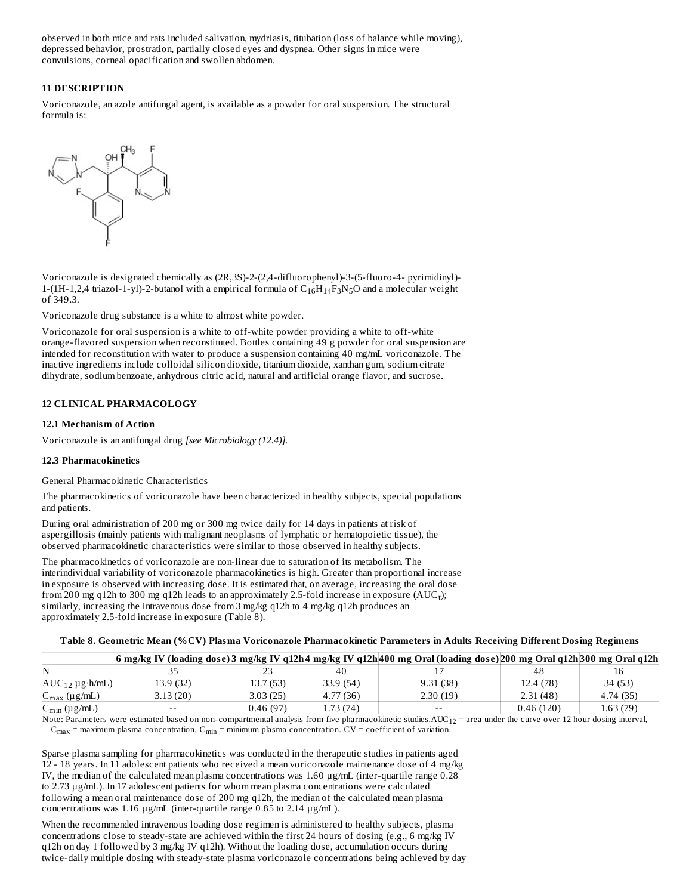observed in both mice and rats included salivation, mydriasis, titubation (loss of balance while moving), depressed behavior, prostration, partially closed eyes and dyspnea. Other signs in mice were convulsions, corneal opacification and swollen abdomen.

## **11 DESCRIPTION**

Voriconazole, an azole antifungal agent, is available as a powder for oral suspension. The structural formula is:



Voriconazole is designated chemically as (2R,3S)-2-(2,4-difluorophenyl)-3-(5-fluoro-4- pyrimidinyl)- 1-(1H-1,2,4 triazol-1-yl)-2-butanol with a empirical formula of  $C_{16}H_{14}F_3N_5O$  and a molecular weight of 349.3.

Voriconazole drug substance is a white to almost white powder.

Voriconazole for oral suspension is a white to off-white powder providing a white to off-white orange-flavored suspension when reconstituted. Bottles containing 49 g powder for oral suspension are intended for reconstitution with water to produce a suspension containing 40 mg/mL voriconazole. The inactive ingredients include colloidal silicon dioxide, titanium dioxide, xanthan gum, sodium citrate dihydrate, sodium benzoate, anhydrous citric acid, natural and artificial orange flavor, and sucrose.

### **12 CLINICAL PHARMACOLOGY**

### **12.1 Mechanism of Action**

Voriconazole is an antifungal drug *[see Microbiology (12.4)].*

#### **12.3 Pharmacokinetics**

General Pharmacokinetic Characteristics

The pharmacokinetics of voriconazole have been characterized in healthy subjects, special populations and patients.

During oral administration of 200 mg or 300 mg twice daily for 14 days in patients at risk of aspergillosis (mainly patients with malignant neoplasms of lymphatic or hematopoietic tissue), the observed pharmacokinetic characteristics were similar to those observed in healthy subjects.

The pharmacokinetics of voriconazole are non-linear due to saturation of its metabolism. The interindividual variability of voriconazole pharmacokinetics is high. Greater than proportional increase in exposure is observed with increasing dose. It is estimated that, on average, increasing the oral dose from 200 mg q12h to 300 mg q12h leads to an approximately 2.5-fold increase in exposure  $(AUC<sub>t</sub>)$ ; similarly, increasing the intravenous dose from 3 mg/kg q12h to 4 mg/kg q12h produces an approximately 2.5-fold increase in exposure (Table 8).

| Table 8. Geometric Mean (%CV) Plasma Voriconazole Pharmacokinetic Parameters in Adults Receiving Different Dosing Regimens |  |  |  |  |  |  |  |
|----------------------------------------------------------------------------------------------------------------------------|--|--|--|--|--|--|--|
|----------------------------------------------------------------------------------------------------------------------------|--|--|--|--|--|--|--|

|                              |           |           |           | 6 mg/kg IV (loading dose) 3 mg/kg IV q12h 4 mg/kg IV q12h 400 mg Oral (loading dose) 200 mg Oral q12h 300 mg Oral q12h |            |           |
|------------------------------|-----------|-----------|-----------|------------------------------------------------------------------------------------------------------------------------|------------|-----------|
|                              |           |           | 40        |                                                                                                                        | 48         |           |
| $AUC_{12} \mu g \cdot h/mL)$ | 13.9 (32) | 13.7(53)  | 33.9(54)  | 9.31(38)                                                                                                               | 12.4 (78)  | 34 (53)   |
| $C_{\text{max}}$ (µg/mL)     | 3.13(20)  | 3.03(25)  | 4.77(36)  | 2.30(19)                                                                                                               | 2.31(48)   | 4.74 (35) |
| $C_{\min}$ (µg/mL)           | $- -$     | 0.46 (97) | 1.73 (74) | $- -$                                                                                                                  | 0.46 (120) | 1.63 (79) |

Note: Parameters were estimated based on non-compartmental analysis from five pharmacokinetic studies. $\mathrm{AUC}_{12}$  = area under the curve over 12 hour dosing interval,  $C_{max}$  = maximum plasma concentration,  $C_{min}$  = minimum plasma concentration. CV = coefficient of variation.

Sparse plasma sampling for pharmacokinetics was conducted in the therapeutic studies in patients aged 12 - 18 years. In 11 adolescent patients who received a mean voriconazole maintenance dose of 4 mg/kg IV, the median of the calculated mean plasma concentrations was 1.60 µg/mL (inter-quartile range 0.28 to 2.73 µg/mL). In 17 adolescent patients for whom mean plasma concentrations were calculated following a mean oral maintenance dose of 200 mg q12h, the median of the calculated mean plasma concentrations was 1.16 µg/mL (inter-quartile range 0.85 to 2.14 µg/mL).

When the recommended intravenous loading dose regimen is administered to healthy subjects, plasma concentrations close to steady-state are achieved within the first 24 hours of dosing (e.g., 6 mg/kg IV q12h on day 1 followed by 3 mg/kg IV q12h). Without the loading dose, accumulation occurs during twice-daily multiple dosing with steady-state plasma voriconazole concentrations being achieved by day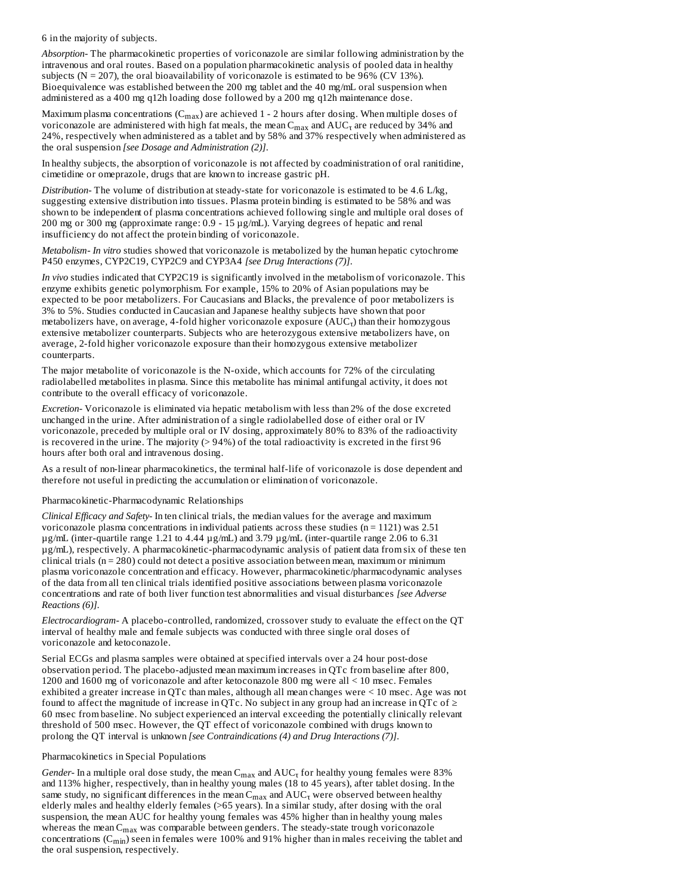6 in the majority of subjects.

*Absorption-* The pharmacokinetic properties of voriconazole are similar following administration by the intravenous and oral routes. Based on a population pharmacokinetic analysis of pooled data in healthy subjects ( $N = 207$ ), the oral bioavailability of voriconazole is estimated to be 96% (CV 13%). Bioequivalence was established between the 200 mg tablet and the 40 mg/mL oral suspension when administered as a 400 mg q12h loading dose followed by a 200 mg q12h maintenance dose.

Maximum plasma concentrations ( $C_{max}$ ) are achieved 1 - 2 hours after dosing. When multiple doses of voriconazole are administered with high fat meals, the mean  $C_{\max}$  and  $\mathrm{AUC}_\tau$  are reduced by 34% and 24%, respectively when administered as a tablet and by 58% and 37% respectively when administered as the oral suspension *[see Dosage and Administration (2)]*.

In healthy subjects, the absorption of voriconazole is not affected by coadministration of oral ranitidine, cimetidine or omeprazole, drugs that are known to increase gastric pH.

*Distribution-* The volume of distribution at steady-state for voriconazole is estimated to be 4.6 L/kg, suggesting extensive distribution into tissues. Plasma protein binding is estimated to be 58% and was shown to be independent of plasma concentrations achieved following single and multiple oral doses of 200 mg or 300 mg (approximate range: 0.9 - 15 µg/mL). Varying degrees of hepatic and renal insufficiency do not affect the protein binding of voriconazole.

*Metabolism- In vitro* studies showed that voriconazole is metabolized by the human hepatic cytochrome P450 enzymes, CYP2C19, CYP2C9 and CYP3A4 *[see Drug Interactions (7)]*.

*In vivo* studies indicated that CYP2C19 is significantly involved in the metabolism of voriconazole. This enzyme exhibits genetic polymorphism. For example, 15% to 20% of Asian populations may be expected to be poor metabolizers. For Caucasians and Blacks, the prevalence of poor metabolizers is 3% to 5%. Studies conducted in Caucasian and Japanese healthy subjects have shown that poor metabolizers have, on average, 4-fold higher voriconazole exposure  $(\mathrm{AUC}_\tau)$  than their homozygous extensive metabolizer counterparts. Subjects who are heterozygous extensive metabolizers have, on average, 2-fold higher voriconazole exposure than their homozygous extensive metabolizer counterparts.

The major metabolite of voriconazole is the N-oxide, which accounts for 72% of the circulating radiolabelled metabolites in plasma. Since this metabolite has minimal antifungal activity, it does not contribute to the overall efficacy of voriconazole.

*Excretion-* Voriconazole is eliminated via hepatic metabolism with less than 2% of the dose excreted unchanged in the urine. After administration of a single radiolabelled dose of either oral or IV voriconazole, preceded by multiple oral or IV dosing, approximately 80% to 83% of the radioactivity is recovered in the urine. The majority (> 94%) of the total radioactivity is excreted in the first 96 hours after both oral and intravenous dosing.

As a result of non-linear pharmacokinetics, the terminal half-life of voriconazole is dose dependent and therefore not useful in predicting the accumulation or elimination of voriconazole.

### Pharmacokinetic-Pharmacodynamic Relationships

*Clinical Efficacy and Safety-* In ten clinical trials, the median values for the average and maximum voriconazole plasma concentrations in individual patients across these studies  $(n = 1121)$  was 2.51 µg/mL (inter-quartile range 1.21 to 4.44 µg/mL) and 3.79 µg/mL (inter-quartile range 2.06 to 6.31 µg/mL), respectively. A pharmacokinetic-pharmacodynamic analysis of patient data from six of these ten clinical trials  $(n = 280)$  could not detect a positive association between mean, maximum or minimum plasma voriconazole concentration and efficacy. However, pharmacokinetic/pharmacodynamic analyses of the data from all ten clinical trials identified positive associations between plasma voriconazole concentrations and rate of both liver function test abnormalities and visual disturbances *[see Adverse Reactions (6)]*.

*Electrocardiogram-* A placebo-controlled, randomized, crossover study to evaluate the effect on the QT interval of healthy male and female subjects was conducted with three single oral doses of voriconazole and ketoconazole.

Serial ECGs and plasma samples were obtained at specified intervals over a 24 hour post-dose observation period. The placebo-adjusted mean maximum increases in QTc from baseline after 800, 1200 and 1600 mg of voriconazole and after ketoconazole 800 mg were all < 10 msec. Females exhibited a greater increase in QTc than males, although all mean changes were < 10 msec. Age was not found to affect the magnitude of increase in QTc. No subject in any group had an increase in QTc of  $\geq$ 60 msec from baseline. No subject experienced an interval exceeding the potentially clinically relevant threshold of 500 msec. However, the QT effect of voriconazole combined with drugs known to prolong the QT interval is unknown *[see Contraindications (4) and Drug Interactions (7)]*.

### Pharmacokinetics in Special Populations

*Gender-* In a multiple oral dose study, the mean  $C_{max}$  and  $AUC_{\tau}$  for healthy young females were 83% and 113% higher, respectively, than in healthy young males (18 to 45 years), after tablet dosing. In the same study, no significant differences in the mean  $C_{max}$  and  $\mathrm{AUC_\tau}$  were observed between healthy elderly males and healthy elderly females (>65 years). In a similar study, after dosing with the oral suspension, the mean AUC for healthy young females was 45% higher than in healthy young males whereas the mean  $\mathsf{C}_{\max}$  was comparable between genders. The steady-state trough voriconazole concentrations (C $_{\rm min}$ ) seen in females were 100% and 91% higher than in males receiving the tablet and the oral suspension, respectively.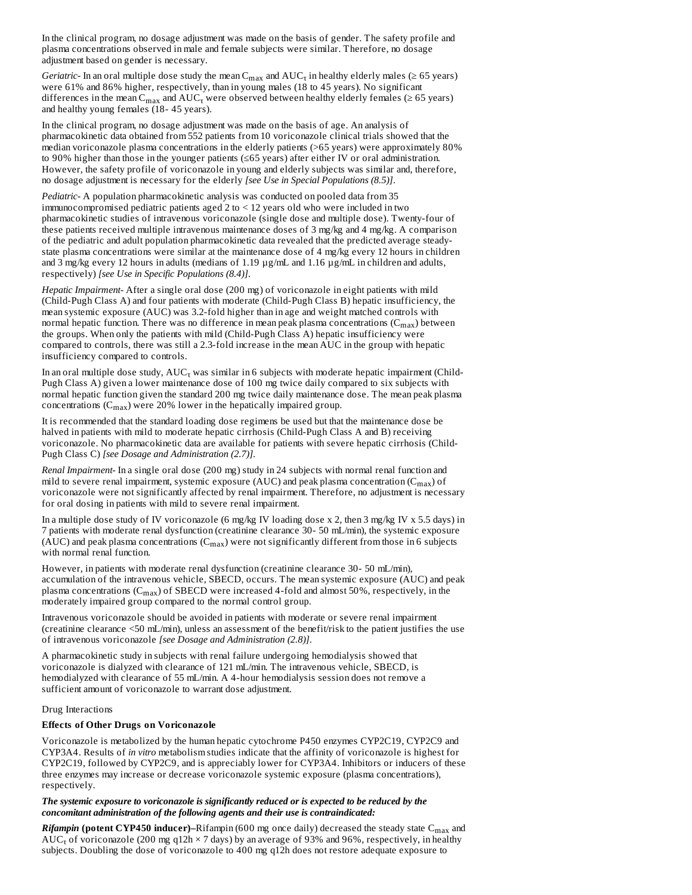In the clinical program, no dosage adjustment was made on the basis of gender. The safety profile and plasma concentrations observed in male and female subjects were similar. Therefore, no dosage adjustment based on gender is necessary.

*Geriatric*- In an oral multiple dose study the mean  $C_{max}$  and  $AUC_{\tau}$  in healthy elderly males ( $\geq 65$  years) were 61% and 86% higher, respectively, than in young males (18 to 45 years). No significant differences in the mean  $\rm C_{max}$  and  $\rm AUC_{\tau}$  were observed between healthy elderly females (≥ 65 years) and healthy young females (18- 45 years).

In the clinical program, no dosage adjustment was made on the basis of age. An analysis of pharmacokinetic data obtained from 552 patients from 10 voriconazole clinical trials showed that the median voriconazole plasma concentrations in the elderly patients (>65 years) were approximately 80% to 90% higher than those in the younger patients (≤65 years) after either IV or oral administration. However, the safety profile of voriconazole in young and elderly subjects was similar and, therefore, no dosage adjustment is necessary for the elderly *[see Use in Special Populations (8.5)]*.

*Pediatric-* A population pharmacokinetic analysis was conducted on pooled data from 35 immunocompromised pediatric patients aged 2 to < 12 years old who were included in two pharmacokinetic studies of intravenous voriconazole (single dose and multiple dose). Twenty-four of these patients received multiple intravenous maintenance doses of 3 mg/kg and 4 mg/kg. A comparison of the pediatric and adult population pharmacokinetic data revealed that the predicted average steadystate plasma concentrations were similar at the maintenance dose of 4 mg/kg every 12 hours in children and 3 mg/kg every 12 hours in adults (medians of 1.19 µg/mL and 1.16 µg/mL in children and adults, respectively) *[see Use in Specific Populations (8.4)]*.

*Hepatic Impairment-* After a single oral dose (200 mg) of voriconazole in eight patients with mild (Child-Pugh Class A) and four patients with moderate (Child-Pugh Class B) hepatic insufficiency, the mean systemic exposure (AUC) was 3.2-fold higher than in age and weight matched controls with normal hepatic function. There was no difference in mean peak plasma concentrations  $(C_{\rm max})$  between the groups. When only the patients with mild (Child-Pugh Class A) hepatic insufficiency were compared to controls, there was still a 2.3-fold increase in the mean AUC in the group with hepatic insufficiency compared to controls.

In an oral multiple dose study,  $\mathsf{AUC}_\tau$  was similar in 6 subjects with moderate hepatic impairment (Child-Pugh Class A) given a lower maintenance dose of 100 mg twice daily compared to six subjects with normal hepatic function given the standard 200 mg twice daily maintenance dose. The mean peak plasma concentrations  $(C_{max})$  were 20% lower in the hepatically impaired group.

It is recommended that the standard loading dose regimens be used but that the maintenance dose be halved in patients with mild to moderate hepatic cirrhosis (Child-Pugh Class A and B) receiving voriconazole. No pharmacokinetic data are available for patients with severe hepatic cirrhosis (Child-Pugh Class C) *[see Dosage and Administration (2.7)]*.

*Renal Impairment-* In a single oral dose (200 mg) study in 24 subjects with normal renal function and mild to severe renal impairment, systemic exposure (AUC) and peak plasma concentration (C $_{\rm max}$ ) of voriconazole were not significantly affected by renal impairment. Therefore, no adjustment is necessary for oral dosing in patients with mild to severe renal impairment.

In a multiple dose study of IV voriconazole (6 mg/kg IV loading dose x 2, then 3 mg/kg IV x 5.5 days) in 7 patients with moderate renal dysfunction (creatinine clearance 30- 50 mL/min), the systemic exposure (AUC) and peak plasma concentrations  $(C_{max})$  were not significantly different from those in 6 subjects with normal renal function.

However, in patients with moderate renal dysfunction (creatinine clearance 30- 50 mL/min), accumulation of the intravenous vehicle, SBECD, occurs. The mean systemic exposure (AUC) and peak plasma concentrations  $(C_{max})$  of SBECD were increased 4-fold and almost 50%, respectively, in the moderately impaired group compared to the normal control group.

Intravenous voriconazole should be avoided in patients with moderate or severe renal impairment (creatinine clearance <50 mL/min), unless an assessment of the benefit/risk to the patient justifies the use of intravenous voriconazole *[see Dosage and Administration (2.8)]*.

A pharmacokinetic study in subjects with renal failure undergoing hemodialysis showed that voriconazole is dialyzed with clearance of 121 mL/min. The intravenous vehicle, SBECD, is hemodialyzed with clearance of 55 mL/min. A 4-hour hemodialysis session does not remove a sufficient amount of voriconazole to warrant dose adjustment.

#### Drug Interactions

### **Effects of Other Drugs on Voriconazole**

Voriconazole is metabolized by the human hepatic cytochrome P450 enzymes CYP2C19, CYP2C9 and CYP3A4. Results of *in vitro* metabolism studies indicate that the affinity of voriconazole is highest for CYP2C19, followed by CYP2C9, and is appreciably lower for CYP3A4. Inhibitors or inducers of these three enzymes may increase or decrease voriconazole systemic exposure (plasma concentrations), respectively.

### *The systemic exposure to voriconazole is significantly reduced or is expected to be reduced by the concomitant administration of the following agents and their use is contraindicated:*

*Rifampin* **(potent CYP450 inducer)–**Rifampin (600 mg once daily) decreased the steady state C<sub>max</sub> and  $AUC_{\tau}$  of voriconazole (200 mg q12h  $\times$  7 days) by an average of 93% and 96%, respectively, in healthy subjects. Doubling the dose of voriconazole to 400 mg q12h does not restore adequate exposure to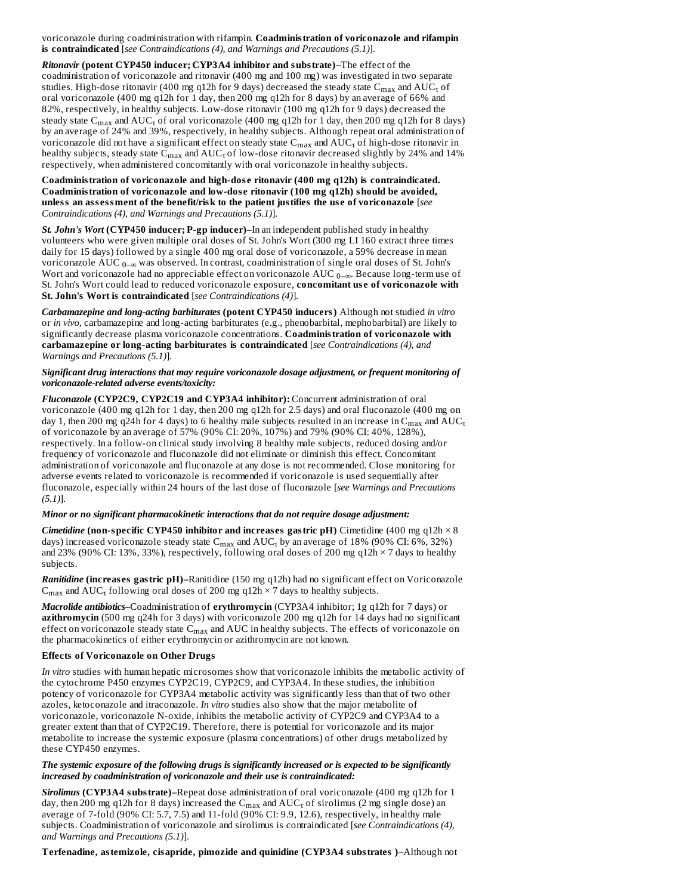voriconazole during coadministration with rifampin. **Coadministration of voriconazole and rifampin is contraindicated** [*see Contraindications (4), and Warnings and Precautions (5.1)*].

*Ritonavir* **(potent CYP450 inducer; CYP3A4 inhibitor and substrate)–**The effect of the coadministration of voriconazole and ritonavir (400 mg and 100 mg) was investigated in two separate studies. High-dose ritonavir (400 mg q12h for 9 days) decreased the steady state  $\rm C_{max}$  and  $\rm AUC_{\tau}$  of oral voriconazole (400 mg q12h for 1 day, then 200 mg q12h for 8 days) by an average of 66% and 82%, respectively, in healthy subjects. Low-dose ritonavir (100 mg q12h for 9 days) decreased the steady state  $C_{max}$  and  $\mathrm{AUC}_\tau$  of oral voriconazole (400 mg q12h for 1 day, then 200 mg q12h for 8 days) by an average of 24% and 39%, respectively, in healthy subjects. Although repeat oral administration of voriconazole did not have a significant effect on steady state  $C_{\max}$  and  $\mathrm{AUC_\tau}$  of high-dose ritonavir in healthy subjects, steady state  $C_{max}$  and  $\mathrm{AUC_{\tau}}$  of low-dose ritonavir decreased slightly by 24% and 14% respectively, when administered concomitantly with oral voriconazole in healthy subjects.

**Coadministration of voriconazole and high-dos e ritonavir (400 mg q12h) is contraindicated. Coadministration of voriconazole and low-dos e ritonavir (100 mg q12h) should be avoided, unless an ass essment of the benefit/risk to the patient justifies the us e of voriconazole** [*see Contraindications (4), and Warnings and Precautions (5.1)*].

*St. John's Wort* **(CYP450 inducer; P-gp inducer)–**In an independent published study in healthy volunteers who were given multiple oral doses of St. John's Wort (300 mg LI 160 extract three times daily for 15 days) followed by a single 400 mg oral dose of voriconazole, a 59% decrease in mean voriconazole AUC  $_{0-\infty}$  was observed. In contrast, coadministration of single oral doses of St. John's Wort and voriconazole had no appreciable effect on voriconazole AUC  $_{0-\infty}$ . Because long-term use of St. John's Wort could lead to reduced voriconazole exposure, **concomitant us e of voriconazole with St. John's Wort is contraindicated** [*see Contraindications (4)*].

*Carbamazepine and long-acting barbiturates* **(potent CYP450 inducers)** Although not studied *in vitro* or *in vivo*, carbamazepine and long-acting barbiturates (e.g., phenobarbital, mephobarbital) are likely to significantly decrease plasma voriconazole concentrations. **Coadministration of voriconazole with carbamazepine or long-acting barbiturates is contraindicated** [*see Contraindications (4), and Warnings and Precautions (5.1)*].

*Significant drug interactions that may require voriconazole dosage adjustment, or frequent monitoring of voriconazole-related adverse events/toxicity:*

*Fluconazole* **(CYP2C9, CYP2C19 and CYP3A4 inhibitor):** Concurrent administration of oral voriconazole (400 mg q12h for 1 day, then 200 mg q12h for 2.5 days) and oral fluconazole (400 mg on day 1, then 200 mg q24h for 4 days) to 6 healthy male subjects resulted in an increase in  $C_{\rm max}$  and  $\rm AUC_{\rm T}$ of voriconazole by an average of 57% (90% CI: 20%, 107%) and 79% (90% CI: 40%, 128%), respectively. In a follow-on clinical study involving 8 healthy male subjects, reduced dosing and/or frequency of voriconazole and fluconazole did not eliminate or diminish this effect. Concomitant administration of voriconazole and fluconazole at any dose is not recommended. Close monitoring for adverse events related to voriconazole is recommended if voriconazole is used sequentially after fluconazole, especially within 24 hours of the last dose of fluconazole [*see Warnings and Precautions (5.1)*].

### *Minor or no significant pharmacokinetic interactions that do not require dosage adjustment:*

*Cimetidine* **(non-specific CYP450 inhibitor and increas es gastric pH)** Cimetidine (400 mg q12h × 8 days) increased voriconazole steady state C $_{\rm max}$  and  $\rm AUC_{\tau}$  by an average of 18% (90% CI: 6%, 32%) and 23% (90% CI: 13%, 33%), respectively, following oral doses of 200 mg q12h × 7 days to healthy subjects.

*Ranitidine* **(increas es gastric pH)–**Ranitidine (150 mg q12h) had no significant effect on Voriconazole  $C_{max}$  and  $AUC_{\tau}$  following oral doses of 200 mg q12h  $\times$  7 days to healthy subjects.

*Macrolide antibiotics–*Coadministration of **erythromycin** (CYP3A4 inhibitor; 1g q12h for 7 days) or **azithromycin** (500 mg q24h for 3 days) with voriconazole 200 mg q12h for 14 days had no significant effect on voriconazole steady state  $\mathsf{C}_{\max}$  and  $\mathsf{AUC}$  in healthy subjects. The effects of voriconazole on the pharmacokinetics of either erythromycin or azithromycin are not known.

### **Effects of Voriconazole on Other Drugs**

*In vitro* studies with human hepatic microsomes show that voriconazole inhibits the metabolic activity of the cytochrome P450 enzymes CYP2C19, CYP2C9, and CYP3A4. In these studies, the inhibition potency of voriconazole for CYP3A4 metabolic activity was significantly less than that of two other azoles, ketoconazole and itraconazole. *In vitro* studies also show that the major metabolite of voriconazole, voriconazole N-oxide, inhibits the metabolic activity of CYP2C9 and CYP3A4 to a greater extent than that of CYP2C19. Therefore, there is potential for voriconazole and its major metabolite to increase the systemic exposure (plasma concentrations) of other drugs metabolized by these CYP450 enzymes.

### *The systemic exposure of the following drugs is significantly increased or is expected to be significantly increased by coadministration of voriconazole and their use is contraindicated:*

*Sirolimus* **(CYP3A4 substrate)–**Repeat dose administration of oral voriconazole (400 mg q12h for 1 day, then 200 mg q12h for 8 days) increased the  $\rm C_{max}$  and  $\rm AUC_{\tau}$  of sirolimus (2 mg single dose) an average of 7-fold (90% CI: 5.7, 7.5) and 11-fold (90% CI: 9.9, 12.6), respectively, in healthy male subjects. Coadministration of voriconazole and sirolimus is contraindicated [*see Contraindications (4), and Warnings and Precautions (5.1)*].

**Terfenadine, astemizole, cisapride, pimozide and quinidine (CYP3A4 substrates )–**Although not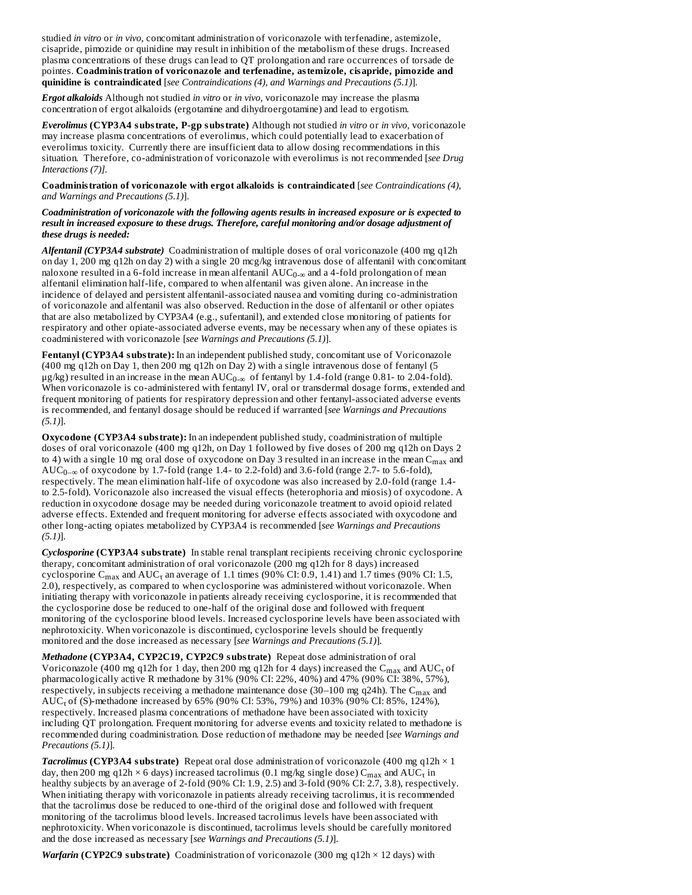studied *in vitro* or *in vivo*, concomitant administration of voriconazole with terfenadine, astemizole, cisapride, pimozide or quinidine may result in inhibition of the metabolism of these drugs. Increased plasma concentrations of these drugs can lead to QT prolongation and rare occurrences of torsade de pointes. **Coadministration of voriconazole and terfenadine, astemizole, cisapride, pimozide and quinidine is contraindicated** [*see Contraindications (4), and Warnings and Precautions (5.1)*].

*Ergot alkaloids* Although not studied *in vitro* or *in vivo*, voriconazole may increase the plasma concentration of ergot alkaloids (ergotamine and dihydroergotamine) and lead to ergotism.

*Everolimus* **(CYP3A4 substrate, P-gp substrate)** Although not studied *in vitro* or *in vivo,* voriconazole may increase plasma concentrations of everolimus, which could potentially lead to exacerbation of everolimus toxicity. Currently there are insufficient data to allow dosing recommendations in this situation. Therefore, co-administration of voriconazole with everolimus is not recommended [*see Drug Interactions (7)].*

**Coadministration of voriconazole with ergot alkaloids is contraindicated** [*see Contraindications (4), and Warnings and Precautions (5.1)*].

### *Coadministration of voriconazole with the following agents results in increased exposure or is expected to result in increased exposure to these drugs. Therefore, careful monitoring and/or dosage adjustment of these drugs is needed:*

*Alfentanil (CYP3A4 substrate)* Coadministration of multiple doses of oral voriconazole (400 mg q12h on day 1, 200 mg q12h on day 2) with a single 20 mcg/kg intravenous dose of alfentanil with concomitant naloxone resulted in a 6-fold increase in mean alfentanil  $\mathrm{AUC}_{0\text{-}\infty}$  and a 4-fold prolongation of mean alfentanil elimination half-life, compared to when alfentanil was given alone. An increase in the incidence of delayed and persistent alfentanil-associated nausea and vomiting during co-administration of voriconazole and alfentanil was also observed. Reduction in the dose of alfentanil or other opiates that are also metabolized by CYP3A4 (e.g., sufentanil), and extended close monitoring of patients for respiratory and other opiate-associated adverse events, may be necessary when any of these opiates is coadministered with voriconazole [*see Warnings and Precautions (5.1)*].

**Fentanyl (CYP3A4 substrate):** In an independent published study, concomitant use of Voriconazole (400 mg q12h on Day 1, then 200 mg q12h on Day 2) with a single intravenous dose of fentanyl (5  $\mu$ g/kg) resulted in an increase in the mean AUC $_{0-\infty}$  of fentanyl by 1.4-fold (range 0.81- to 2.04-fold). When voriconazole is co-administered with fentanyl IV, oral or transdermal dosage forms, extended and frequent monitoring of patients for respiratory depression and other fentanyl-associated adverse events is recommended, and fentanyl dosage should be reduced if warranted [*see Warnings and Precautions (5.1)*].

**Oxycodone (CYP3A4 substrate):** In an independent published study, coadministration of multiple doses of oral voriconazole (400 mg q12h, on Day 1 followed by five doses of 200 mg q12h on Days 2 to 4) with a single 10 mg oral dose of oxycodone on Day 3 resulted in an increase in the mean  $\mathsf{C}_{\max}$  and  $AUC_{0-\infty}$  of oxycodone by 1.7-fold (range 1.4- to 2.2-fold) and 3.6-fold (range 2.7- to 5.6-fold), respectively. The mean elimination half-life of oxycodone was also increased by 2.0-fold (range 1.4 to 2.5-fold). Voriconazole also increased the visual effects (heterophoria and miosis) of oxycodone. A reduction in oxycodone dosage may be needed during voriconazole treatment to avoid opioid related adverse effects. Extended and frequent monitoring for adverse effects associated with oxycodone and other long-acting opiates metabolized by CYP3A4 is recommended [*see Warnings and Precautions (5.1)*].

*Cyclosporine* **(CYP3A4 substrate)** In stable renal transplant recipients receiving chronic cyclosporine therapy, concomitant administration of oral voriconazole (200 mg q12h for 8 days) increased cyclosporine  $C_{max}$  and  $AUC_{\tau}$  an average of 1.1 times (90% CI: 0.9, 1.41) and 1.7 times (90% CI: 1.5, 2.0), respectively, as compared to when cyclosporine was administered without voriconazole. When initiating therapy with voriconazole in patients already receiving cyclosporine, it is recommended that the cyclosporine dose be reduced to one-half of the original dose and followed with frequent monitoring of the cyclosporine blood levels. Increased cyclosporine levels have been associated with nephrotoxicity. When voriconazole is discontinued, cyclosporine levels should be frequently monitored and the dose increased as necessary [*see Warnings and Precautions (5.1)*].

*Methadone* **(CYP3A4, CYP2C19, CYP2C9 substrate)** Repeat dose administration of oral Voriconazole (400 mg q12h for 1 day, then 200 mg q12h for 4 days) increased the  $\rm C_{max}$  and  $\rm AUC_{\rm T}$  of pharmacologically active R methadone by 31% (90% CI: 22%, 40%) and 47% (90% CI: 38%, 57%), respectively, in subjects receiving a methadone maintenance dose (30–100 mg q24h). The  $\mathsf{C_{max}}$  and  $\mathrm{AUC}_\tau$  of (S)-methadone increased by 65% (90% CI: 53%, 79%) and 103% (90% CI: 85%, 124%), respectively. Increased plasma concentrations of methadone have been associated with toxicity including QT prolongation. Frequent monitoring for adverse events and toxicity related to methadone is recommended during coadministration. Dose reduction of methadone may be needed [*see Warnings and Precautions (5.1)*].

*Tacrolimus* **(CYP3A4 substrate)** Repeat oral dose administration of voriconazole (400 mg q12h × 1 day, then 200 mg q12h  $\times$  6 days) increased tacrolimus (0.1 mg/kg single dose)  $C_{max}$  and  $\text{AUC}_\tau$  in healthy subjects by an average of 2-fold (90% CI: 1.9, 2.5) and 3-fold (90% CI: 2.7, 3.8), respectively. When initiating therapy with voriconazole in patients already receiving tacrolimus, it is recommended that the tacrolimus dose be reduced to one-third of the original dose and followed with frequent monitoring of the tacrolimus blood levels. Increased tacrolimus levels have been associated with nephrotoxicity. When voriconazole is discontinued, tacrolimus levels should be carefully monitored and the dose increased as necessary [*see Warnings and Precautions (5.1)*].

*Warfarin* **(CYP2C9 substrate)** Coadministration of voriconazole (300 mg q12h × 12 days) with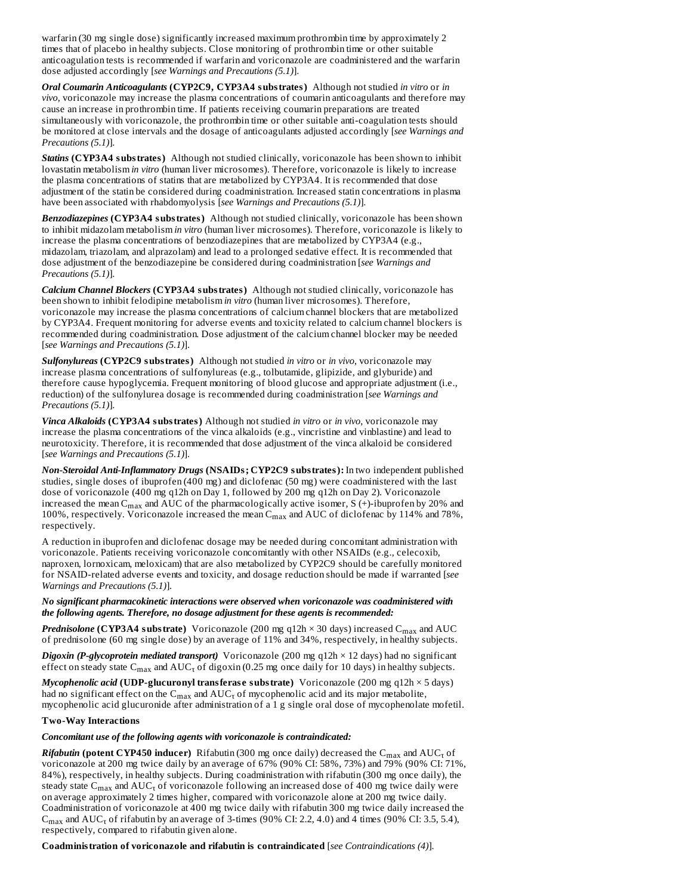warfarin (30 mg single dose) significantly increased maximum prothrombin time by approximately 2 times that of placebo in healthy subjects. Close monitoring of prothrombin time or other suitable anticoagulation tests is recommended if warfarin and voriconazole are coadministered and the warfarin dose adjusted accordingly [*see Warnings and Precautions (5.1)*].

*Oral Coumarin Anticoagulants* **(CYP2C9, CYP3A4 substrates)** Although not studied *in vitro* or *in vivo*, voriconazole may increase the plasma concentrations of coumarin anticoagulants and therefore may cause an increase in prothrombin time. If patients receiving coumarin preparations are treated simultaneously with voriconazole, the prothrombin time or other suitable anti-coagulation tests should be monitored at close intervals and the dosage of anticoagulants adjusted accordingly [*see Warnings and Precautions (5.1)*].

*Statins* **(CYP3A4 substrates)** Although not studied clinically, voriconazole has been shown to inhibit lovastatin metabolism *in vitro* (human liver microsomes). Therefore, voriconazole is likely to increase the plasma concentrations of statins that are metabolized by CYP3A4. It is recommended that dose adjustment of the statin be considered during coadministration. Increased statin concentrations in plasma have been associated with rhabdomyolysis [*see Warnings and Precautions (5.1)*].

*Benzodiazepines* **(CYP3A4 substrates)** Although not studied clinically, voriconazole has been shown to inhibit midazolam metabolism *in vitro* (human liver microsomes). Therefore, voriconazole is likely to increase the plasma concentrations of benzodiazepines that are metabolized by CYP3A4 (e.g., midazolam, triazolam, and alprazolam) and lead to a prolonged sedative effect. It is recommended that dose adjustment of the benzodiazepine be considered during coadministration [*see Warnings and Precautions (5.1)*].

*Calcium Channel Blockers* **(CYP3A4 substrates)** Although not studied clinically, voriconazole has been shown to inhibit felodipine metabolism *in vitro* (human liver microsomes). Therefore, voriconazole may increase the plasma concentrations of calcium channel blockers that are metabolized by CYP3A4. Frequent monitoring for adverse events and toxicity related to calcium channel blockers is recommended during coadministration. Dose adjustment of the calcium channel blocker may be needed [*see Warnings and Precautions (5.1)*].

*Sulfonylureas* **(CYP2C9 substrates)** Although not studied *in vitro* or *in vivo*, voriconazole may increase plasma concentrations of sulfonylureas (e.g., tolbutamide, glipizide, and glyburide) and therefore cause hypoglycemia. Frequent monitoring of blood glucose and appropriate adjustment (i.e., reduction) of the sulfonylurea dosage is recommended during coadministration [*see Warnings and Precautions (5.1)*].

*Vinca Alkaloids* **(CYP3A4 substrates)** Although not studied *in vitro* or *in vivo*, voriconazole may increase the plasma concentrations of the vinca alkaloids (e.g., vincristine and vinblastine) and lead to neurotoxicity. Therefore, it is recommended that dose adjustment of the vinca alkaloid be considered [*see Warnings and Precautions (5.1)*].

*Non-Steroidal Anti-Inflammatory Drugs* **(NSAIDs; CYP2C9 substrates):** In two independent published studies, single doses of ibuprofen (400 mg) and diclofenac (50 mg) were coadministered with the last dose of voriconazole (400 mg q12h on Day 1, followed by 200 mg q12h on Day 2). Voriconazole increased the mean  $C_{\rm max}$  and AUC of the pharmacologically active isomer, S (+)-ibuprofen by 20% and 100%, respectively. Voriconazole increased the mean  $C_{\rm max}$  and AUC of diclofenac by 114% and 78%, respectively.

A reduction in ibuprofen and diclofenac dosage may be needed during concomitant administration with voriconazole. Patients receiving voriconazole concomitantly with other NSAIDs (e.g., celecoxib, naproxen, lornoxicam, meloxicam) that are also metabolized by CYP2C9 should be carefully monitored for NSAID-related adverse events and toxicity, and dosage reduction should be made if warranted [*see Warnings and Precautions (5.1)*].

### *No significant pharmacokinetic interactions were observed when voriconazole was coadministered with the following agents. Therefore, no dosage adjustment for these agents is recommended:*

*Prednisolone* **(CYP3A4 substrate)** Voriconazole (200 mg q12h  $\times$  30 days) increased C<sub>max</sub> and AUC of prednisolone (60 mg single dose) by an average of 11% and 34%, respectively, in healthy subjects.

*Digoxin (P-glycoprotein mediated transport)* Voriconazole (200 mg q12h × 12 days) had no significant effect on steady state  $C_{max}$  and  $\mathrm{AUC}_\tau$  of digoxin (0.25 mg once daily for 10 days) in healthy subjects.

*Mycophenolic acid* **(UDP-glucuronyl transferas e substrate)** Voriconazole (200 mg q12h × 5 days) had no significant effect on the  $\rm C_{max}$  and  $\rm AUC_{\tau}$  of mycophenolic acid and its major metabolite, mycophenolic acid glucuronide after administration of a 1 g single oral dose of mycophenolate mofetil.

### **Two-Way Interactions**

*Concomitant use of the following agents with voriconazole is contraindicated:*

*Rifabutin* **(potent CYP450 inducer)** Rifabutin (300 mg once daily) decreased the C<sub>max</sub> and AUC<sub>τ</sub> of voriconazole at 200 mg twice daily by an average of 67% (90% CI: 58%, 73%) and 79% (90% CI: 71%, 84%), respectively, in healthy subjects. During coadministration with rifabutin (300 mg once daily), the steady state  $\rm C_{max}$  and  $\rm AUC_{\rm T}$  of voriconazole following an increased dose of 400 mg twice daily were on average approximately 2 times higher, compared with voriconazole alone at 200 mg twice daily. Coadministration of voriconazole at 400 mg twice daily with rifabutin 300 mg twice daily increased the  $C_{\text{max}}$  and  $\text{AUC}_7$  of rifabutin by an average of 3-times (90% CI: 2.2, 4.0) and 4 times (90% CI: 3.5, 5.4), respectively, compared to rifabutin given alone.

**Coadministration of voriconazole and rifabutin is contraindicated** [*see Contraindications (4)*].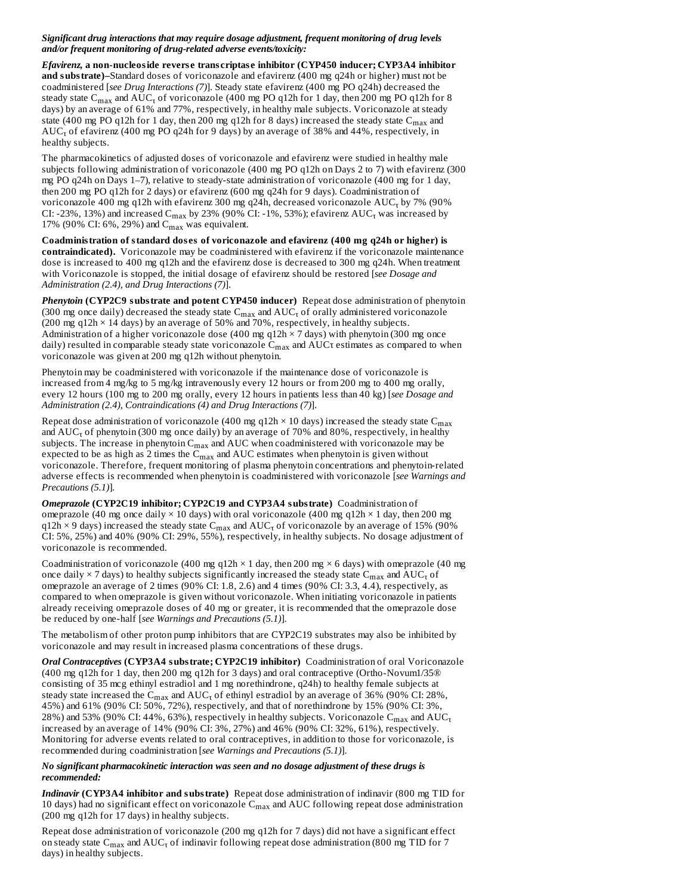### *Significant drug interactions that may require dosage adjustment, frequent monitoring of drug levels and/or frequent monitoring of drug-related adverse events/toxicity:*

*Efavirenz,* **a non-nucleoside revers e trans criptas e inhibitor (CYP450 inducer; CYP3A4 inhibitor and substrate)–**Standard doses of voriconazole and efavirenz (400 mg q24h or higher) must not be coadministered [*see Drug Interactions (7)*]. Steady state efavirenz (400 mg PO q24h) decreased the steady state C<sub>max</sub> and AUC<sub>τ</sub> of voriconazole (400 mg PO q12h for 1 day, then 200 mg PO q12h for 8 days) by an average of 61% and 77%, respectively, in healthy male subjects. Voriconazole at steady state (400 mg PO q12h for 1 day, then 200 mg q12h for 8 days) increased the steady state  $\mathsf{C}_{\max}$  and  $\mathrm{AUC}_\tau$  of efavirenz (400 mg PO q24h for 9 days) by an average of 38% and 44%, respectively, in healthy subjects.

The pharmacokinetics of adjusted doses of voriconazole and efavirenz were studied in healthy male subjects following administration of voriconazole (400 mg PO q12h on Days 2 to 7) with efavirenz (300 mg PO q24h on Days 1–7), relative to steady-state administration of voriconazole (400 mg for 1 day, then 200 mg PO q12h for 2 days) or efavirenz (600 mg q24h for 9 days). Coadministration of voriconazole 400 mg q12h with efavirenz 300 mg q24h, decreased voriconazole  $\rm AUC_7$  by 7% (90% CI: -23%, 13%) and increased C $_{\rm max}$  by 23% (90% CI: -1%, 53%); efavirenz AUC $_{\rm t}$  was increased by 17% (90% CI: 6%, 29%) and  $C_{\text{max}}$  was equivalent.

**Coadministration of standard dos es of voriconazole and efavirenz (400 mg q24h or higher) is contraindicated).** Voriconazole may be coadministered with efavirenz if the voriconazole maintenance dose is increased to 400 mg q12h and the efavirenz dose is decreased to 300 mg q24h. When treatment with Voriconazole is stopped, the initial dosage of efavirenz should be restored [*see Dosage and Administration (2.4), and Drug Interactions (7)*].

*Phenytoin* **(CYP2C9 substrate and potent CYP450 inducer)** Repeat dose administration of phenytoin (300 mg once daily) decreased the steady state  $C_{max}$  and  $\mathrm{AUC}_\tau$  of orally administered voriconazole (200 mg q12h × 14 days) by an average of 50% and 70%, respectively, in healthy subjects. Administration of a higher voriconazole dose (400 mg q12h × 7 days) with phenytoin (300 mg once daily) resulted in comparable steady state voriconazole  $C_{max}$  and  $\mathrm{AUC}$ r estimates as compared to when voriconazole was given at 200 mg q12h without phenytoin.

Phenytoin may be coadministered with voriconazole if the maintenance dose of voriconazole is increased from 4 mg/kg to 5 mg/kg intravenously every 12 hours or from 200 mg to 400 mg orally, every 12 hours (100 mg to 200 mg orally, every 12 hours in patients less than 40 kg) [*see Dosage and Administration (2.4), Contraindications (4) and Drug Interactions (7)*].

Repeat dose administration of voriconazole (400 mg q12h  $\times$  10 days) increased the steady state  $C_{max}$ and  $\mathrm{AUC}_\tau$  of phenytoin (300 mg once daily) by an average of 70% and 80%, respectively, in healthy subjects. The increase in phenytoin  $C_{\max}$  and  $\mathrm{AUC}$  when coadministered with voriconazole may be expected to be as high as 2 times the  $\rm C_{max}$  and  $\rm AUC$  estimates when phenytoin is given without voriconazole. Therefore, frequent monitoring of plasma phenytoin concentrations and phenytoin-related adverse effects is recommended when phenytoin is coadministered with voriconazole [*see Warnings and Precautions (5.1)*].

*Omeprazole* **(CYP2C19 inhibitor; CYP2C19 and CYP3A4 substrate)** Coadministration of omeprazole (40 mg once daily  $\times$  10 days) with oral voriconazole (400 mg q12h  $\times$  1 day, then 200 mg q12h × 9 days) increased the steady state  $C_{max}$  and  $\mathrm{AUC}_\tau$  of voriconazole by an average of 15% (90% CI: 5%, 25%) and 40% (90% CI: 29%, 55%), respectively, in healthy subjects. No dosage adjustment of voriconazole is recommended.

Coadministration of voriconazole (400 mg q12h  $\times$  1 day, then 200 mg  $\times$  6 days) with omeprazole (40 mg once daily  $\times$  7 days) to healthy subjects significantly increased the steady state  $C_{max}$  and  $\text{AUC}_{\texttt{t}}$  of omeprazole an average of 2 times (90% CI: 1.8, 2.6) and 4 times (90% CI: 3.3, 4.4), respectively, as compared to when omeprazole is given without voriconazole. When initiating voriconazole in patients already receiving omeprazole doses of 40 mg or greater, it is recommended that the omeprazole dose be reduced by one-half [*see Warnings and Precautions (5.1)*].

The metabolism of other proton pump inhibitors that are CYP2C19 substrates may also be inhibited by voriconazole and may result in increased plasma concentrations of these drugs.

*Oral Contraceptives* **(CYP3A4 substrate; CYP2C19 inhibitor)** Coadministration of oral Voriconazole (400 mg q12h for 1 day, then 200 mg q12h for 3 days) and oral contraceptive (Ortho-Novum1/35® consisting of 35 mcg ethinyl estradiol and 1 mg norethindrone, q24h) to healthy female subjects at steady state increased the C $_{\rm max}$  and AUC $_{\rm T}$  of ethinyl estradiol by an average of 36% (90% CI: 28%, 45%) and 61% (90% CI: 50%, 72%), respectively, and that of norethindrone by 15% (90% CI: 3%, 28%) and 53% (90% CI: 44%, 63%), respectively in healthy subjects. Voriconazole  $\rm C_{max}$  and  $\rm AUC_{T}$ increased by an average of 14% (90% CI: 3%, 27%) and 46% (90% CI: 32%, 61%), respectively. Monitoring for adverse events related to oral contraceptives, in addition to those for voriconazole, is recommended during coadministration [*see Warnings and Precautions (5.1)*].

### *No significant pharmacokinetic interaction was seen and no dosage adjustment of these drugs is recommended:*

*Indinavir* **(CYP3A4 inhibitor and substrate)** Repeat dose administration of indinavir (800 mg TID for 10 days) had no significant effect on voriconazole  $C_{max}$  and  $\rm AUC$  following repeat dose administration (200 mg q12h for 17 days) in healthy subjects.

Repeat dose administration of voriconazole (200 mg q12h for 7 days) did not have a significant effect on steady state  $\rm C_{max}$  and  $\rm AUC_{\rm T}$  of indinavir following repeat dose administration (800 mg TID for 7 days) in healthy subjects.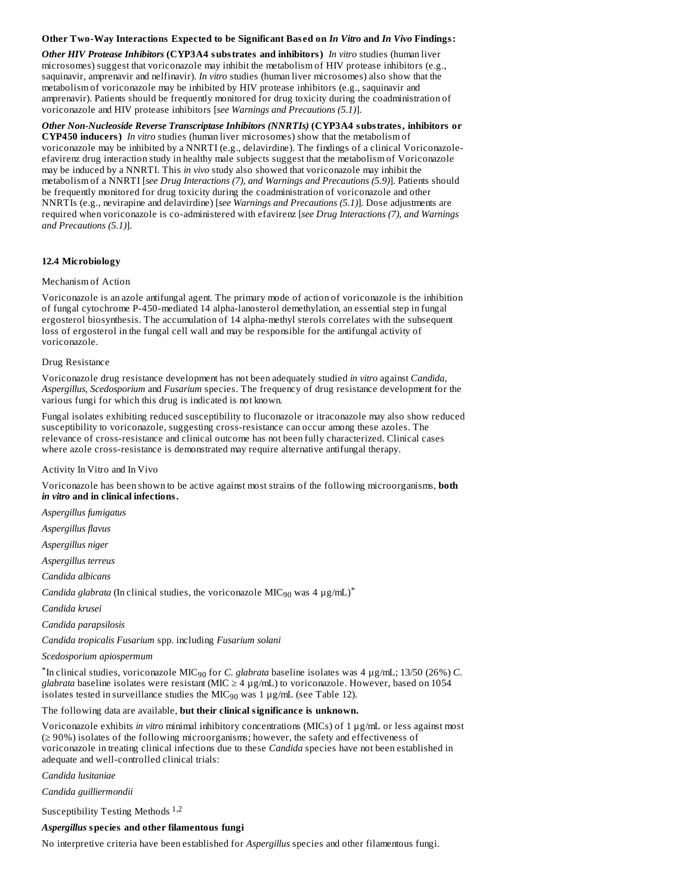#### **Other Two-Way Interactions Expected to be Significant Bas ed on** *In Vitro* **and** *In Vivo* **Findings:**

*Other HIV Protease Inhibitors* **(CYP3A4 substrates and inhibitors)** *In vitro* studies (human liver microsomes) suggest that voriconazole may inhibit the metabolism of HIV protease inhibitors (e.g., saquinavir, amprenavir and nelfinavir). *In vitro* studies (human liver microsomes) also show that the metabolism of voriconazole may be inhibited by HIV protease inhibitors (e.g., saquinavir and amprenavir). Patients should be frequently monitored for drug toxicity during the coadministration of voriconazole and HIV protease inhibitors [*see Warnings and Precautions (5.1)*].

*Other Non-Nucleoside Reverse Transcriptase Inhibitors (NNRTIs)* **(CYP3A4 substrates, inhibitors or CYP450 inducers)** *In vitro* studies (human liver microsomes) show that the metabolism of voriconazole may be inhibited by a NNRTI (e.g., delavirdine). The findings of a clinical Voriconazoleefavirenz drug interaction study in healthy male subjects suggest that the metabolism of Voriconazole may be induced by a NNRTI. This *in vivo* study also showed that voriconazole may inhibit the metabolism of a NNRTI [*see Drug Interactions (7), and Warnings and Precautions (5.9)*]. Patients should be frequently monitored for drug toxicity during the coadministration of voriconazole and other NNRTIs (e.g., nevirapine and delavirdine) [*see Warnings and Precautions (5.1)*]. Dose adjustments are required when voriconazole is co-administered with efavirenz [*see Drug Interactions (7), and Warnings and Precautions (5.1)*].

### **12.4 Microbiology**

#### Mechanism of Action

Voriconazole is an azole antifungal agent. The primary mode of action of voriconazole is the inhibition of fungal cytochrome P-450-mediated 14 alpha-lanosterol demethylation, an essential step in fungal ergosterol biosynthesis. The accumulation of 14 alpha-methyl sterols correlates with the subsequent loss of ergosterol in the fungal cell wall and may be responsible for the antifungal activity of voriconazole.

#### Drug Resistance

Voriconazole drug resistance development has not been adequately studied *in vitro* against *Candida, Aspergillus, Scedosporium* and *Fusarium* species. The frequency of drug resistance development for the various fungi for which this drug is indicated is not known.

Fungal isolates exhibiting reduced susceptibility to fluconazole or itraconazole may also show reduced susceptibility to voriconazole, suggesting cross-resistance can occur among these azoles. The relevance of cross-resistance and clinical outcome has not been fully characterized. Clinical cases where azole cross-resistance is demonstrated may require alternative antifungal therapy.

Activity In Vitro and In Vivo

Voriconazole has been shown to be active against most strains of the following microorganisms, **both** *in vitro* **and in clinical infections.**

*Aspergillus fumigatus*

*Aspergillus flavus*

*Aspergillus niger*

*Aspergillus terreus*

*Candida albicans*

*Candida glabrata* (In clinical studies, the voriconazole MIC<sub>90</sub> was 4  $\mu$ g/mL)<sup>\*</sup>

*Candida krusei*

*Candida parapsilosis*

*Candida tropicalis Fusarium* spp. including *Fusarium solani*

*Scedosporium apiospermum*

 $^*$ In clinical studies, voriconazole MIC $_{90}$  for *C. glabrata* baseline isolates was 4  $\mu$ g/mL; 13/50 (26%) *C. glabrata* baseline isolates were resistant (MIC  $\geq$  4  $\mu$ g/mL) to voriconazole. However, based on 1054 isolates tested in surveillance studies the MIC $_{90}$  was 1  $\mu$ g/mL (see Table 12).

#### The following data are available, **but their clinical significance is unknown.**

Voriconazole exhibits *in vitro* minimal inhibitory concentrations (MICs) of 1 µg/mL or less against most (≥ 90%) isolates of the following microorganisms; however, the safety and effectiveness of voriconazole in treating clinical infections due to these *Candida* species have not been established in adequate and well-controlled clinical trials:

*Candida lusitaniae*

*Candida guilliermondii*

Susceptibility Testing Methods 1,2

### *Aspergillus* **species and other filamentous fungi**

No interpretive criteria have been established for *Aspergillus* species and other filamentous fungi.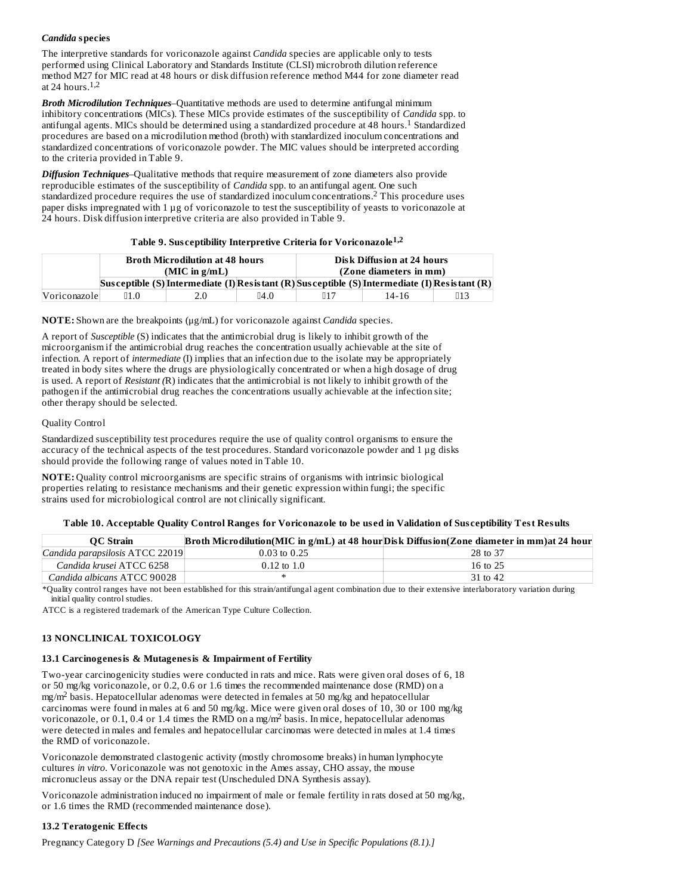## *Candida* **species**

The interpretive standards for voriconazole against *Candida* species are applicable only to tests performed using Clinical Laboratory and Standards Institute (CLSI) microbroth dilution reference method M27 for MIC read at 48 hours or disk diffusion reference method M44 for zone diameter read at 24 hours. 1,2

*Broth Microdilution Techniques*–Quantitative methods are used to determine antifungal minimum inhibitory concentrations (MICs). These MICs provide estimates of the susceptibility of *Candida* spp. to antifungal agents. MICs should be determined using a standardized procedure at 48 hours.<sup>1</sup> Standardized procedures are based on a microdilution method (broth) with standardized inoculum concentrations and standardized concentrations of voriconazole powder. The MIC values should be interpreted according to the criteria provided in Table 9.

*Diffusion Techniques*–Qualitative methods that require measurement of zone diameters also provide reproducible estimates of the susceptibility of *Candida* spp. to an antifungal agent. One such standardized procedure requires the use of standardized inoculum concentrations. This procedure uses 2 paper disks impregnated with 1 µg of voriconazole to test the susceptibility of yeasts to voriconazole at 24 hours. Disk diffusion interpretive criteria are also provided in Table 9.

### **Table 9. Sus ceptibility Interpretive Criteria for Voriconazole 1,2**

|               | <b>Broth Microdilution at 48 hours</b> |                                                                                                     | Disk Diffusion at 24 hours |     |       |     |
|---------------|----------------------------------------|-----------------------------------------------------------------------------------------------------|----------------------------|-----|-------|-----|
|               | $(MIC$ in $g/mL)$                      |                                                                                                     | (Zone diameters in mm)     |     |       |     |
|               |                                        | Sus ceptible (S) Intermediate (I) Res is tant (R) Sus ceptible (S) Intermediate (I) Res is tant (R) |                            |     |       |     |
| Voriconazolel | ∏1.0                                   | 2.0                                                                                                 | $\mathbb{R}^{4}$ .0        | ∏17 | 14-16 | Ⅱ13 |

**NOTE:** Shown are the breakpoints (μg/mL) for voriconazole against *Candida* species.

A report of *Susceptible* (S) indicates that the antimicrobial drug is likely to inhibit growth of the microorganism if the antimicrobial drug reaches the concentration usually achievable at the site of infection. A report of *intermediate* (I) implies that an infection due to the isolate may be appropriately treated in body sites where the drugs are physiologically concentrated or when a high dosage of drug is used. A report of *Resistant (*R) indicates that the antimicrobial is not likely to inhibit growth of the pathogen if the antimicrobial drug reaches the concentrations usually achievable at the infection site; other therapy should be selected.

### Quality Control

Standardized susceptibility test procedures require the use of quality control organisms to ensure the accuracy of the technical aspects of the test procedures. Standard voriconazole powder and 1 µg disks should provide the following range of values noted in Table 10.

**NOTE:** Quality control microorganisms are specific strains of organisms with intrinsic biological properties relating to resistance mechanisms and their genetic expression within fungi; the specific strains used for microbiological control are not clinically significant.

### Table 10. Acceptable Quality Control Ranges for Voriconazole to be used in Validation of Susceptibility Test Results

| <b>OC</b> Strain                |                  | Broth Microdilution(MIC in g/mL) at 48 hourDisk Diffusion(Zone diameter in mm)at 24 hour |
|---------------------------------|------------------|------------------------------------------------------------------------------------------|
| Candida parapsilosis ATCC 22019 | $0.03$ to $0.25$ | 28 to 37                                                                                 |
| Candida krusei ATCC 6258        | $0.12$ to $1.0$  | 16 to 25                                                                                 |
| Candida albicans ATCC 90028     |                  | 31 to 42                                                                                 |

\*Quality control ranges have not been established for this strain/antifungal agent combination due to their extensive interlaboratory variation during initial quality control studies.

ATCC is a registered trademark of the American Type Culture Collection.

### **13 NONCLINICAL TOXICOLOGY**

### **13.1 Carcinogenesis & Mutagenesis & Impairment of Fertility**

Two-year carcinogenicity studies were conducted in rats and mice. Rats were given oral doses of 6, 18 or 50 mg/kg voriconazole, or 0.2, 0.6 or 1.6 times the recommended maintenance dose (RMD) on a  $mg/m^2$  basis. Hepatocellular adenomas were detected in females at 50 mg/kg and hepatocellular carcinomas were found in males at 6 and 50 mg/kg. Mice were given oral doses of 10, 30 or 100 mg/kg voriconazole, or 0.1, 0.4 or 1.4 times the RMD on a mg/m<sup>2</sup> basis. In mice, hepatocellular adenomas were detected in males and females and hepatocellular carcinomas were detected in males at 1.4 times the RMD of voriconazole.

Voriconazole demonstrated clastogenic activity (mostly chromosome breaks) in human lymphocyte cultures *in vitro*. Voriconazole was not genotoxic in the Ames assay, CHO assay, the mouse micronucleus assay or the DNA repair test (Unscheduled DNA Synthesis assay).

Voriconazole administration induced no impairment of male or female fertility in rats dosed at 50 mg/kg, or 1.6 times the RMD (recommended maintenance dose).

### **13.2 Teratogenic Effects**

Pregnancy Category D *[See Warnings and Precautions (5.4) and Use in Specific Populations (8.1).]*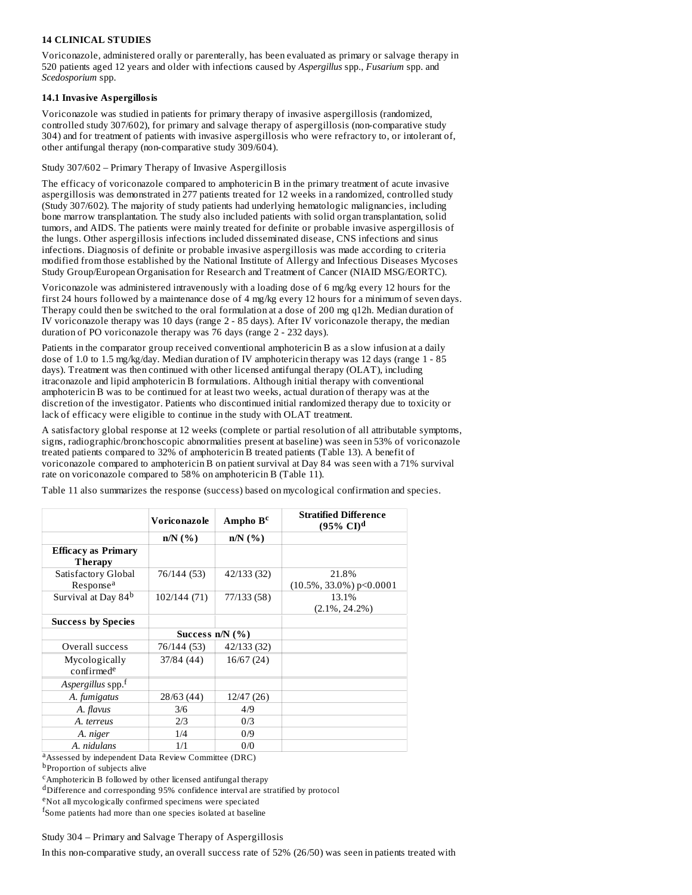## **14 CLINICAL STUDIES**

Voriconazole, administered orally or parenterally, has been evaluated as primary or salvage therapy in 520 patients aged 12 years and older with infections caused by *Aspergillus* spp., *Fusarium* spp. and *Scedosporium* spp.

### **14.1 Invasive Aspergillosis**

Voriconazole was studied in patients for primary therapy of invasive aspergillosis (randomized, controlled study 307/602), for primary and salvage therapy of aspergillosis (non-comparative study 304) and for treatment of patients with invasive aspergillosis who were refractory to, or intolerant of, other antifungal therapy (non-comparative study 309/604).

### Study 307/602 – Primary Therapy of Invasive Aspergillosis

The efficacy of voriconazole compared to amphotericin B in the primary treatment of acute invasive aspergillosis was demonstrated in 277 patients treated for 12 weeks in a randomized, controlled study (Study 307/602). The majority of study patients had underlying hematologic malignancies, including bone marrow transplantation. The study also included patients with solid organ transplantation, solid tumors, and AIDS. The patients were mainly treated for definite or probable invasive aspergillosis of the lungs. Other aspergillosis infections included disseminated disease, CNS infections and sinus infections. Diagnosis of definite or probable invasive aspergillosis was made according to criteria modified from those established by the National Institute of Allergy and Infectious Diseases Mycoses Study Group/European Organisation for Research and Treatment of Cancer (NIAID MSG/EORTC).

Voriconazole was administered intravenously with a loading dose of 6 mg/kg every 12 hours for the first 24 hours followed by a maintenance dose of 4 mg/kg every 12 hours for a minimum of seven days. Therapy could then be switched to the oral formulation at a dose of 200 mg q12h. Median duration of IV voriconazole therapy was 10 days (range 2 - 85 days). After IV voriconazole therapy, the median duration of PO voriconazole therapy was 76 days (range 2 - 232 days).

Patients in the comparator group received conventional amphotericin B as a slow infusion at a daily dose of 1.0 to 1.5 mg/kg/day. Median duration of IV amphotericin therapy was 12 days (range 1 - 85 days). Treatment was then continued with other licensed antifungal therapy (OLAT), including itraconazole and lipid amphotericin B formulations. Although initial therapy with conventional amphotericin B was to be continued for at least two weeks, actual duration of therapy was at the discretion of the investigator. Patients who discontinued initial randomized therapy due to toxicity or lack of efficacy were eligible to continue in the study with OLAT treatment.

A satisfactory global response at 12 weeks (complete or partial resolution of all attributable symptoms, signs, radiographic/bronchoscopic abnormalities present at baseline) was seen in 53% of voriconazole treated patients compared to 32% of amphotericin B treated patients (Table 13). A benefit of voriconazole compared to amphotericin B on patient survival at Day 84 was seen with a 71% survival rate on voriconazole compared to 58% on amphotericin B (Table 11).

|                                              | Voriconazole      | Ampho $Bc$  | <b>Stratified Difference</b><br>$(95\% \text{ CI})^{\text{d}}$ |
|----------------------------------------------|-------------------|-------------|----------------------------------------------------------------|
|                                              | $n/N$ (%)         | $n/N$ (%)   |                                                                |
| <b>Efficacy as Primary</b><br><b>Therapy</b> |                   |             |                                                                |
| Satisfactory Global<br>Response <sup>a</sup> | 76/144 (53)       | 42/133 (32) | 21.8%<br>$(10.5\%, 33.0\%)$ p < 0.0001                         |
| Survival at Day 84 <sup>b</sup>              | 102/144 (71)      | 77/133 (58) | 13.1%<br>$(2.1\%, 24.2\%)$                                     |
| <b>Success by Species</b>                    |                   |             |                                                                |
|                                              | Success $n/N$ (%) |             |                                                                |
| Overall success                              | 76/144 (53)       | 42/133 (32) |                                                                |
| Mycologically<br>confirmed <sup>e</sup>      | 37/84 (44)        | 16/67(24)   |                                                                |
| Aspergillus spp.f                            |                   |             |                                                                |
| A. fumigatus                                 | 28/63 (44)        | 12/47(26)   |                                                                |
| A. flavus                                    | 3/6               | 4/9         |                                                                |
| A. terreus                                   | 2/3               | 0/3         |                                                                |
| A. niger                                     | 1/4               | 0/9         |                                                                |
| A. nidulans                                  | 1/1               | 0/0         |                                                                |

Table 11 also summarizes the response (success) based on mycological confirmation and species.

<sup>a</sup> Assessed by independent Data Review Committee (DRC)

<sup>b</sup>Proportion of subjects alive

<sup>c</sup>Amphotericin B followed by other licensed antifungal therapy

dDifference and corresponding 95% confidence interval are stratified by protocol

<sup>e</sup>Not all mycologically confirmed specimens were speciated

fSome patients had more than one species isolated at baseline

### Study 304 – Primary and Salvage Therapy of Aspergillosis

In this non-comparative study, an overall success rate of 52% (26/50) was seen in patients treated with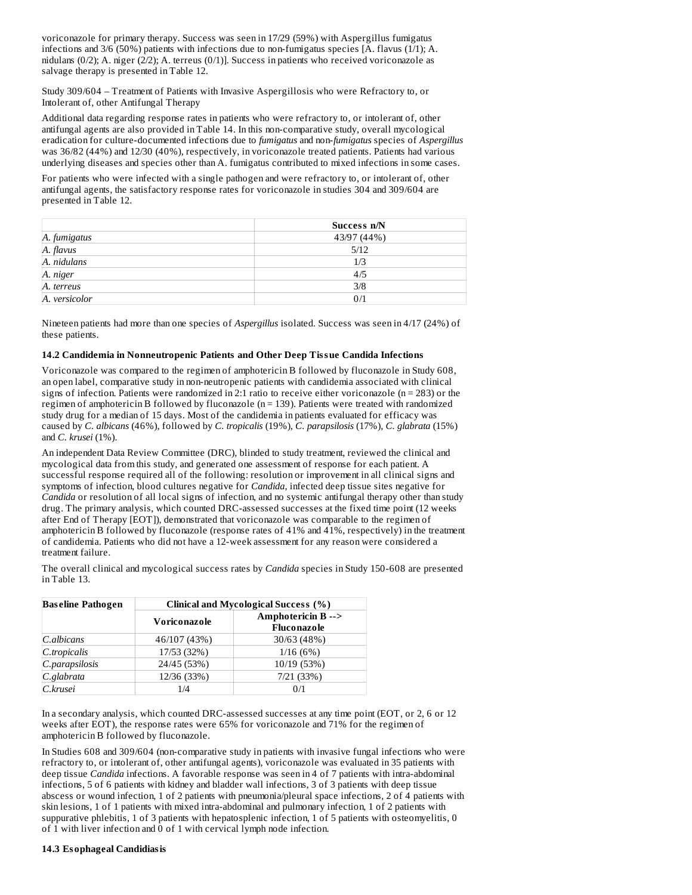voriconazole for primary therapy. Success was seen in 17/29 (59%) with Aspergillus fumigatus infections and 3/6 (50%) patients with infections due to non-fumigatus species [A. flavus (1/1); A. nidulans (0/2); A. niger (2/2); A. terreus (0/1)]. Success in patients who received voriconazole as salvage therapy is presented in Table 12.

Study 309/604 – Treatment of Patients with Invasive Aspergillosis who were Refractory to, or Intolerant of, other Antifungal Therapy

Additional data regarding response rates in patients who were refractory to, or intolerant of, other antifungal agents are also provided in Table 14. In this non-comparative study, overall mycological eradication for culture-documented infections due to *fumigatus* and non-*fumigatus* species of *Aspergillus* was 36/82 (44%) and 12/30 (40%), respectively, in voriconazole treated patients. Patients had various underlying diseases and species other than A. fumigatus contributed to mixed infections in some cases.

For patients who were infected with a single pathogen and were refractory to, or intolerant of, other antifungal agents, the satisfactory response rates for voriconazole in studies 304 and 309/604 are presented in Table 12.

|               | Success n/N |
|---------------|-------------|
| A. fumigatus  | 43/97 (44%) |
| A. flavus     | 5/12        |
| A. nidulans   | 1/3         |
| A. niger      | 4/5         |
| A. terreus    | 3/8         |
| A. versicolor | 0/1         |

Nineteen patients had more than one species of *Aspergillus* isolated. Success was seen in 4/17 (24%) of these patients.

### **14.2 Candidemia in Nonneutropenic Patients and Other Deep Tissue Candida Infections**

Voriconazole was compared to the regimen of amphotericin B followed by fluconazole in Study 608, an open label, comparative study in non-neutropenic patients with candidemia associated with clinical signs of infection. Patients were randomized in 2:1 ratio to receive either voriconazole ( $n = 283$ ) or the regimen of amphotericin B followed by fluconazole (n = 139). Patients were treated with randomized study drug for a median of 15 days. Most of the candidemia in patients evaluated for efficacy was caused by *C. albicans* (46%), followed by *C. tropicalis* (19%), *C. parapsilosis* (17%), *C. glabrata* (15%) and *C. krusei* (1%).

An independent Data Review Committee (DRC), blinded to study treatment, reviewed the clinical and mycological data from this study, and generated one assessment of response for each patient. A successful response required all of the following: resolution or improvement in all clinical signs and symptoms of infection, blood cultures negative for *Candida*, infected deep tissue sites negative for *Candida* or resolution of all local signs of infection, and no systemic antifungal therapy other than study drug. The primary analysis, which counted DRC-assessed successes at the fixed time point (12 weeks after End of Therapy [EOT]), demonstrated that voriconazole was comparable to the regimen of amphotericin B followed by fluconazole (response rates of 41% and 41%, respectively) in the treatment of candidemia. Patients who did not have a 12-week assessment for any reason were considered a treatment failure.

The overall clinical and mycological success rates by *Candida* species in Study 150-608 are presented in Table 13.

| <b>Baseline Pathogen</b> | Clinical and Mycological Success (%) |                                  |  |  |  |
|--------------------------|--------------------------------------|----------------------------------|--|--|--|
|                          | Voriconazole                         | Amphotericin B--><br>Fluconazole |  |  |  |
| C.albicans               | 46/107 (43%)                         | 30/63 (48%)                      |  |  |  |
| C.tropicalis             | 17/53 (32%)                          | 1/16(6%)                         |  |  |  |
| C.parapsilosis           | 24/45 (53%)                          | 10/19 (53%)                      |  |  |  |
| C.glabrata               | 12/36 (33%)                          | 7/21(33%)                        |  |  |  |
| C.krusei                 | 1/4                                  | 0/1                              |  |  |  |

In a secondary analysis, which counted DRC-assessed successes at any time point (EOT, or 2, 6 or 12 weeks after EOT), the response rates were 65% for voriconazole and 71% for the regimen of amphotericin B followed by fluconazole.

In Studies 608 and 309/604 (non-comparative study in patients with invasive fungal infections who were refractory to, or intolerant of, other antifungal agents), voriconazole was evaluated in 35 patients with deep tissue *Candida* infections. A favorable response was seen in 4 of 7 patients with intra-abdominal infections, 5 of 6 patients with kidney and bladder wall infections, 3 of 3 patients with deep tissue abscess or wound infection, 1 of 2 patients with pneumonia/pleural space infections, 2 of 4 patients with skin lesions, 1 of 1 patients with mixed intra-abdominal and pulmonary infection, 1 of 2 patients with suppurative phlebitis, 1 of 3 patients with hepatosplenic infection, 1 of 5 patients with osteomyelitis, 0 of 1 with liver infection and 0 of 1 with cervical lymph node infection.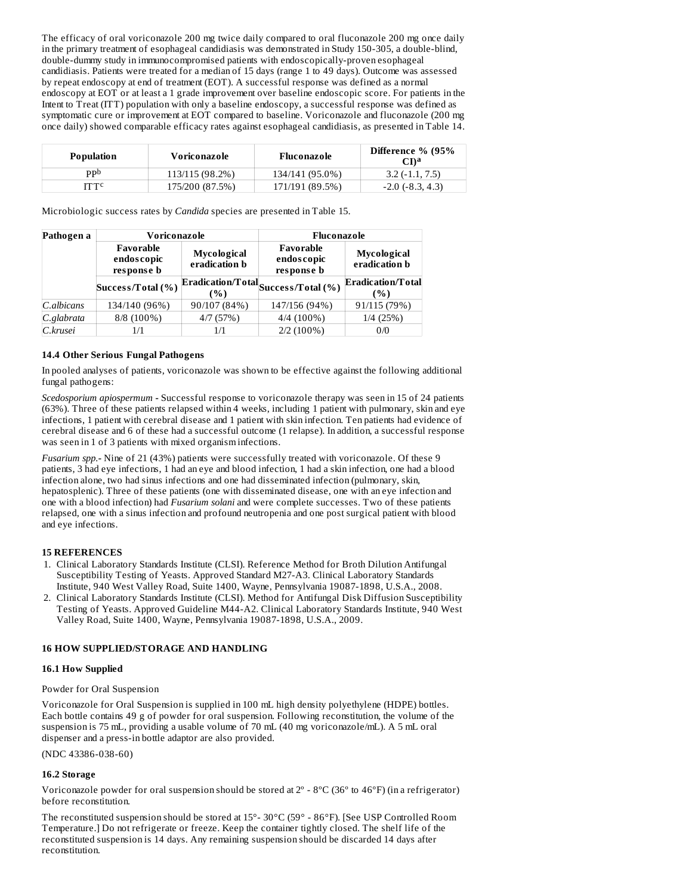The efficacy of oral voriconazole 200 mg twice daily compared to oral fluconazole 200 mg once daily in the primary treatment of esophageal candidiasis was demonstrated in Study 150-305, a double-blind, double-dummy study in immunocompromised patients with endoscopically-proven esophageal candidiasis. Patients were treated for a median of 15 days (range 1 to 49 days). Outcome was assessed by repeat endoscopy at end of treatment (EOT). A successful response was defined as a normal endoscopy at EOT or at least a 1 grade improvement over baseline endoscopic score. For patients in the Intent to Treat (ITT) population with only a baseline endoscopy, a successful response was defined as symptomatic cure or improvement at EOT compared to baseline. Voriconazole and fluconazole (200 mg once daily) showed comparable efficacy rates against esophageal candidiasis, as presented in Table 14.

| Population | Voriconazole    | Fluconazole     | Difference % (95%<br>CDa |
|------------|-----------------|-----------------|--------------------------|
| ppb        | 113/115 (98.2%) | 134/141 (95.0%) | $3.2(-1.1, 7.5)$         |
| іттс       | 175/200 (87.5%) | 171/191 (89.5%) | $-2.0$ ( $-8.3, 4.3$ )   |

Microbiologic success rates by *Candida* species are presented in Table 15.

| Pathogen a | Voriconazole                          |                                     | Fluconazole                                                        |                                     |  |
|------------|---------------------------------------|-------------------------------------|--------------------------------------------------------------------|-------------------------------------|--|
|            | Favorable<br>endoscopic<br>response b | Mycological<br>eradication <b>b</b> | Favorable<br>endoscopic<br>response b                              | Mycological<br>eradication <b>b</b> |  |
|            | Success/Total (%)                     | $\%$                                | , $\overline{\text{Eradication/Total}}_{\text{Success/Total}}(\%)$ | Eradication/Total<br>(%)            |  |
| C.albicans | 134/140 (96%)                         | 90/107 (84%)                        | 147/156 (94%)                                                      | 91/115 (79%)                        |  |
| C.glabrata | 8/8 (100%)                            | 4/7(57%)                            | $4/4(100\%)$                                                       | 1/4(25%)                            |  |
| C.krusei   | 1/1                                   | 1/1                                 | $2/2(100\%)$                                                       | 0/0                                 |  |

## **14.4 Other Serious Fungal Pathogens**

In pooled analyses of patients, voriconazole was shown to be effective against the following additional fungal pathogens:

*Scedosporium apiospermum -* Successful response to voriconazole therapy was seen in 15 of 24 patients (63%). Three of these patients relapsed within 4 weeks, including 1 patient with pulmonary, skin and eye infections, 1 patient with cerebral disease and 1 patient with skin infection. Ten patients had evidence of cerebral disease and 6 of these had a successful outcome (1 relapse). In addition, a successful response was seen in 1 of 3 patients with mixed organism infections.

*Fusarium spp.-* Nine of 21 (43%) patients were successfully treated with voriconazole. Of these 9 patients, 3 had eye infections, 1 had an eye and blood infection, 1 had a skin infection, one had a blood infection alone, two had sinus infections and one had disseminated infection (pulmonary, skin, hepatosplenic). Three of these patients (one with disseminated disease, one with an eye infection and one with a blood infection) had *Fusarium solani* and were complete successes. Two of these patients relapsed, one with a sinus infection and profound neutropenia and one post surgical patient with blood and eye infections.

## **15 REFERENCES**

- 1. Clinical Laboratory Standards Institute (CLSI). Reference Method for Broth Dilution Antifungal Susceptibility Testing of Yeasts. Approved Standard M27-A3. Clinical Laboratory Standards Institute, 940 West Valley Road, Suite 1400, Wayne, Pennsylvania 19087-1898, U.S.A., 2008.
- 2. Clinical Laboratory Standards Institute (CLSI). Method for Antifungal Disk Diffusion Susceptibility Testing of Yeasts. Approved Guideline M44-A2. Clinical Laboratory Standards Institute, 940 West Valley Road, Suite 1400, Wayne, Pennsylvania 19087-1898, U.S.A., 2009.

### **16 HOW SUPPLIED/STORAGE AND HANDLING**

### **16.1 How Supplied**

### Powder for Oral Suspension

Voriconazole for Oral Suspension is supplied in 100 mL high density polyethylene (HDPE) bottles. Each bottle contains 49 g of powder for oral suspension. Following reconstitution, the volume of the suspension is 75 mL, providing a usable volume of 70 mL (40 mg voriconazole/mL). A 5 mL oral dispenser and a press-in bottle adaptor are also provided.

(NDC 43386-038-60)

## **16.2 Storage**

Voriconazole powder for oral suspension should be stored at 2º - 8ºC (36º to 46ºF) (in a refrigerator) before reconstitution.

The reconstituted suspension should be stored at 15°- 30°C (59° - 86°F). [See USP Controlled Room Temperature.] Do not refrigerate or freeze. Keep the container tightly closed. The shelf life of the reconstituted suspension is 14 days. Any remaining suspension should be discarded 14 days after reconstitution.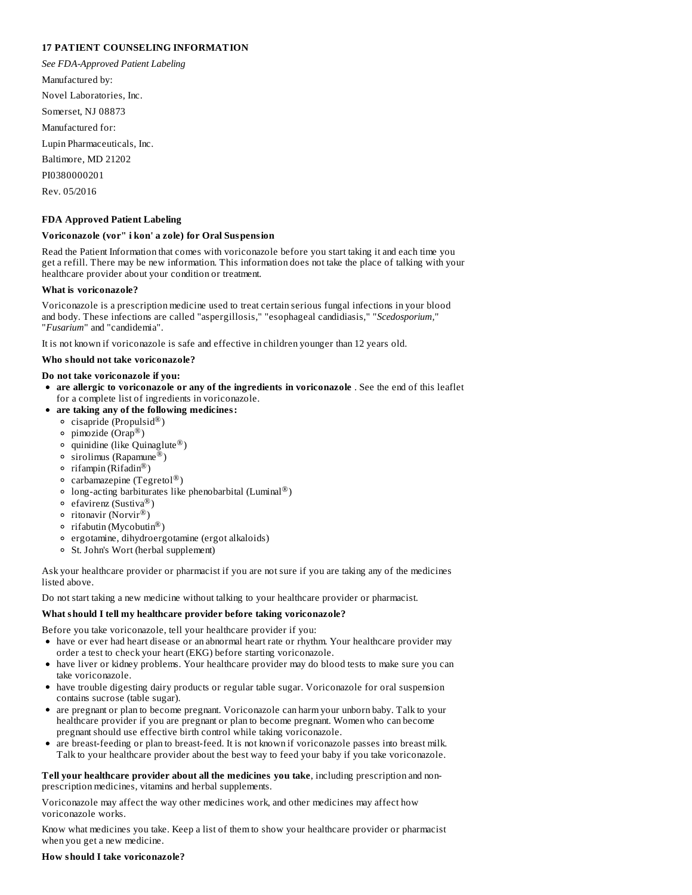### **17 PATIENT COUNSELING INFORMATION**

*See FDA-Approved Patient Labeling* Manufactured by: Novel Laboratories, Inc. Somerset, NJ 08873 Manufactured for: Lupin Pharmaceuticals, Inc. Baltimore, MD 21202 PI0380000201 Rev. 05/2016

### **FDA Approved Patient Labeling**

### **Voriconazole (vor" i kon' a zole) for Oral Suspension**

Read the Patient Information that comes with voriconazole before you start taking it and each time you get a refill. There may be new information. This information does not take the place of talking with your healthcare provider about your condition or treatment.

### **What is voriconazole?**

Voriconazole is a prescription medicine used to treat certain serious fungal infections in your blood and body. These infections are called "aspergillosis," "esophageal candidiasis," "*Scedosporium,*" "*Fusarium*" and "candidemia".

It is not known if voriconazole is safe and effective in children younger than 12 years old.

### **Who should not take voriconazole?**

### **Do not take voriconazole if you:**

- **are allergic to voriconazole or any of the ingredients in voriconazole** . See the end of this leaflet for a complete list of ingredients in voriconazole.
- **are taking any of the following medicines:**
	- $c$ isapride (Propulsid $^{\circledR}$ )
	- pimozide (Orap<sup>®</sup>)
	- quinidine (like Quinaglute $^{\circledR}$ )
	- sirolimus (Rapamune®)
	- rifampin ( $\widehat{\text{Rifadin}^{\circledR}}$ )
	- carbamazepine (Tegretol $^\circledR)$
	- long-acting barbiturates like phenobarbital (Luminal $^@$ )
	- efavirenz (Sustiva®)
	- ritonavir (Norvir®)
	- rifabutin (Mycobutin®)
	- ergotamine, dihydroergotamine (ergot alkaloids)
	- St. John's Wort (herbal supplement)

Ask your healthcare provider or pharmacist if you are not sure if you are taking any of the medicines listed above.

Do not start taking a new medicine without talking to your healthcare provider or pharmacist.

### **What should I tell my healthcare provider before taking voriconazole?**

Before you take voriconazole, tell your healthcare provider if you:

- have or ever had heart disease or an abnormal heart rate or rhythm. Your healthcare provider may order a test to check your heart (EKG) before starting voriconazole.
- have liver or kidney problems. Your healthcare provider may do blood tests to make sure you can take voriconazole.
- have trouble digesting dairy products or regular table sugar. Voriconazole for oral suspension contains sucrose (table sugar).
- are pregnant or plan to become pregnant. Voriconazole can harm your unborn baby. Talk to your healthcare provider if you are pregnant or plan to become pregnant. Women who can become pregnant should use effective birth control while taking voriconazole.
- are breast-feeding or plan to breast-feed. It is not known if voriconazole passes into breast milk. Talk to your healthcare provider about the best way to feed your baby if you take voriconazole.

**Tell your healthcare provider about all the medicines you take**, including prescription and nonprescription medicines, vitamins and herbal supplements.

Voriconazole may affect the way other medicines work, and other medicines may affect how voriconazole works.

Know what medicines you take. Keep a list of them to show your healthcare provider or pharmacist when you get a new medicine.

### **How should I take voriconazole?**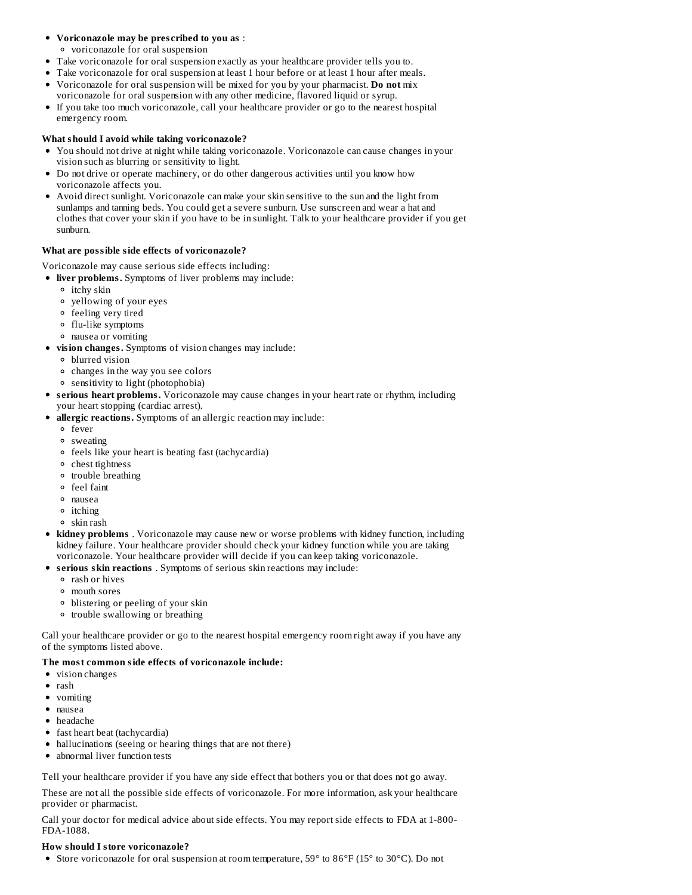## **Voriconazole may be pres cribed to you as** :

- voriconazole for oral suspension
- Take voriconazole for oral suspension exactly as your healthcare provider tells you to.
- Take voriconazole for oral suspension at least 1 hour before or at least 1 hour after meals.
- Voriconazole for oral suspension will be mixed for you by your pharmacist. **Do not** mix  $\bullet$ voriconazole for oral suspension with any other medicine, flavored liquid or syrup.
- If you take too much voriconazole, call your healthcare provider or go to the nearest hospital emergency room.

## **What should I avoid while taking voriconazole?**

- You should not drive at night while taking voriconazole. Voriconazole can cause changes in your vision such as blurring or sensitivity to light.
- Do not drive or operate machinery, or do other dangerous activities until you know how voriconazole affects you.
- Avoid direct sunlight. Voriconazole can make your skin sensitive to the sun and the light from sunlamps and tanning beds. You could get a severe sunburn. Use sunscreen and wear a hat and clothes that cover your skin if you have to be in sunlight. Talk to your healthcare provider if you get sunburn.

### **What are possible side effects of voriconazole?**

Voriconazole may cause serious side effects including:

- **liver problems.** Symptoms of liver problems may include:
	- itchy skin
	- yellowing of your eyes
	- feeling very tired
	- flu-like symptoms
	- nausea or vomiting
- **vision changes.** Symptoms of vision changes may include:
	- blurred vision
	- changes in the way you see colors
	- sensitivity to light (photophobia)
- **s erious heart problems.** Voriconazole may cause changes in your heart rate or rhythm, including your heart stopping (cardiac arrest).
- **allergic reactions.** Symptoms of an allergic reaction may include:
	- fever
	- sweating
	- feels like your heart is beating fast (tachycardia)
	- chest tightness
	- <sup>o</sup> trouble breathing
	- feel faint
	- nausea
	- itching
	- skin rash
- **kidney problems** . Voriconazole may cause new or worse problems with kidney function, including kidney failure. Your healthcare provider should check your kidney function while you are taking voriconazole. Your healthcare provider will decide if you can keep taking voriconazole.
- **s erious skin reactions** . Symptoms of serious skin reactions may include:
	- rash or hives
	- mouth sores
	- blistering or peeling of your skin
	- trouble swallowing or breathing

Call your healthcare provider or go to the nearest hospital emergency room right away if you have any of the symptoms listed above.

# **The most common side effects of voriconazole include:**

- vision changes
- rash
- vomiting
- nausea
- headache
- fast heart beat (tachycardia)
- hallucinations (seeing or hearing things that are not there)
- abnormal liver function tests

Tell your healthcare provider if you have any side effect that bothers you or that does not go away.

These are not all the possible side effects of voriconazole. For more information, ask your healthcare provider or pharmacist.

Call your doctor for medical advice about side effects. You may report side effects to FDA at 1-800- FDA-1088.

### **How should I store voriconazole?**

Store voriconazole for oral suspension at room temperature, 59° to 86°F (15° to 30°C). Do not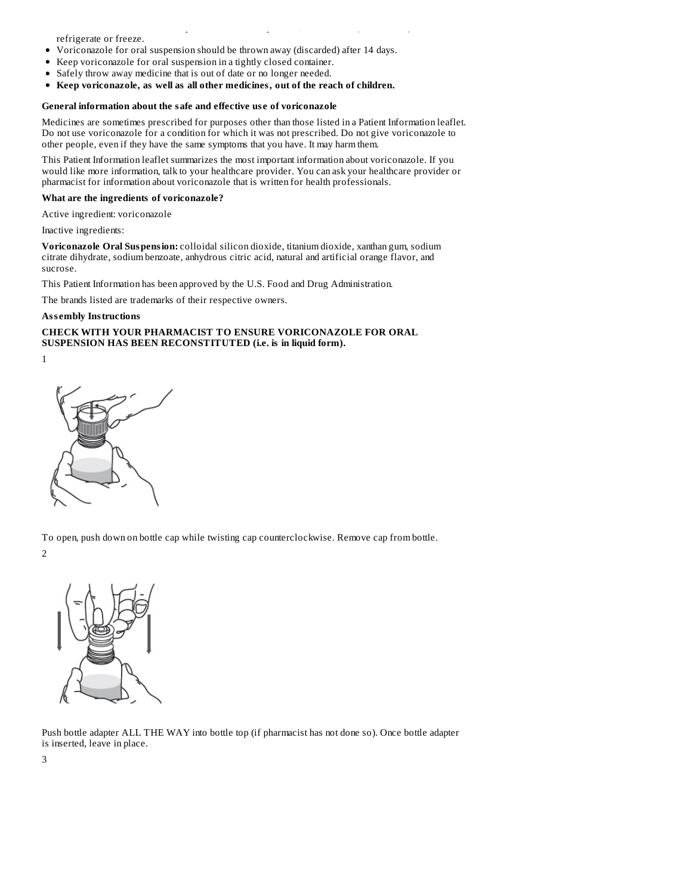refrigerate or freeze.

- Voriconazole for oral suspension should be thrown away (discarded) after 14 days.
- Keep voriconazole for oral suspension in a tightly closed container.
- Safely throw away medicine that is out of date or no longer needed.  $\bullet$
- **Keep voriconazole, as well as all other medicines, out of the reach of children.**

#### **General information about the safe and effective us e of voriconazole**

Medicines are sometimes prescribed for purposes other than those listed in a Patient Information leaflet. Do not use voriconazole for a condition for which it was not prescribed. Do not give voriconazole to other people, even if they have the same symptoms that you have. It may harm them.

Store voriconazole for oral suspension at room temperature, 59° to 86°F (15° to 30°C). Do not

This Patient Information leaflet summarizes the most important information about voriconazole. If you would like more information, talk to your healthcare provider. You can ask your healthcare provider or pharmacist for information about voriconazole that is written for health professionals.

#### **What are the ingredients of voriconazole?**

Active ingredient: voriconazole

Inactive ingredients:

**Voriconazole Oral Suspension:** colloidal silicon dioxide, titanium dioxide, xanthan gum, sodium citrate dihydrate, sodium benzoate, anhydrous citric acid, natural and artificial orange flavor, and sucrose.

This Patient Information has been approved by the U.S. Food and Drug Administration.

The brands listed are trademarks of their respective owners.

### **Ass embly Instructions**

### **CHECK WITH YOUR PHARMACIST TO ENSURE VORICONAZOLE FOR ORAL SUSPENSION HAS BEEN RECONSTITUTED (i.e. is in liquid form).**

1



To open, push down on bottle cap while twisting cap counterclockwise. Remove cap from bottle. 2



Push bottle adapter ALL THE WAY into bottle top (if pharmacist has not done so). Once bottle adapter is inserted, leave in place.

3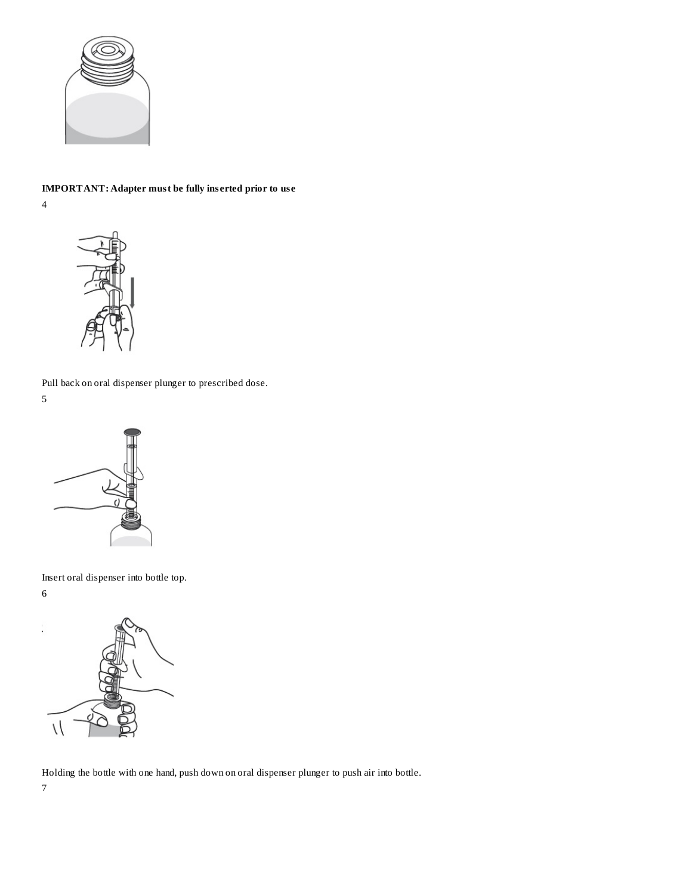

# **IMPORTANT: Adapter must be fully ins erted prior to us e**

4



Pull back on oral dispenser plunger to prescribed dose.

5



Insert oral dispenser into bottle top. 6



Holding the bottle with one hand, push down on oral dispenser plunger to push air into bottle.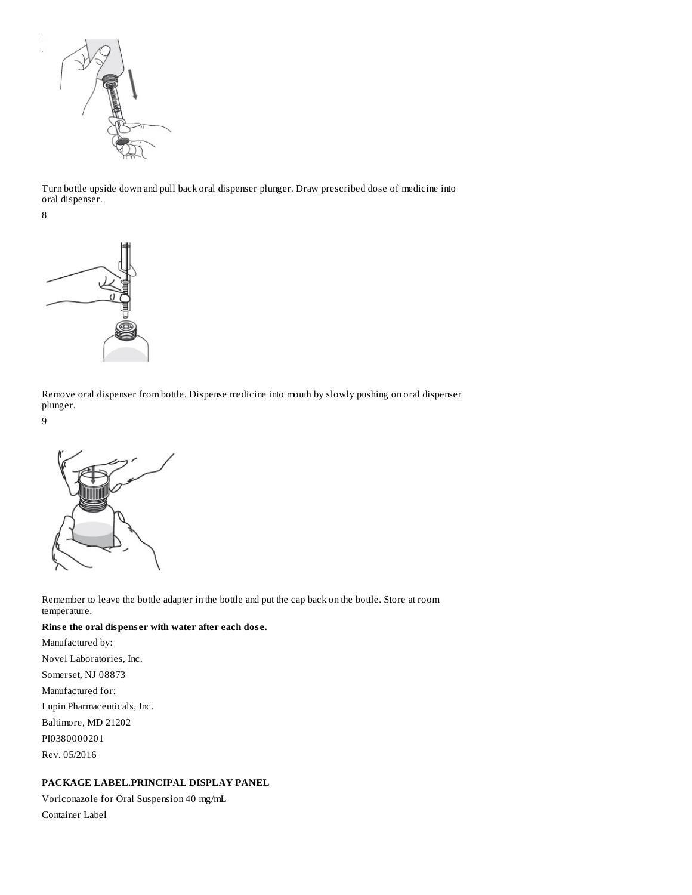

Turn bottle upside down and pull back oral dispenser plunger. Draw prescribed dose of medicine into oral dispenser.

8



Remove oral dispenser from bottle. Dispense medicine into mouth by slowly pushing on oral dispenser plunger.

9



Remember to leave the bottle adapter in the bottle and put the cap back on the bottle. Store at room temperature.

## **Rins e the oral dispens er with water after each dos e.**

Manufactured by: Novel Laboratories, Inc. Somerset, NJ 08873 Manufactured for: Lupin Pharmaceuticals, Inc. Baltimore, MD 21202 PI0380000201 Rev. 05/2016

## **PACKAGE LABEL.PRINCIPAL DISPLAY PANEL**

Voriconazole for Oral Suspension 40 mg/mL Container Label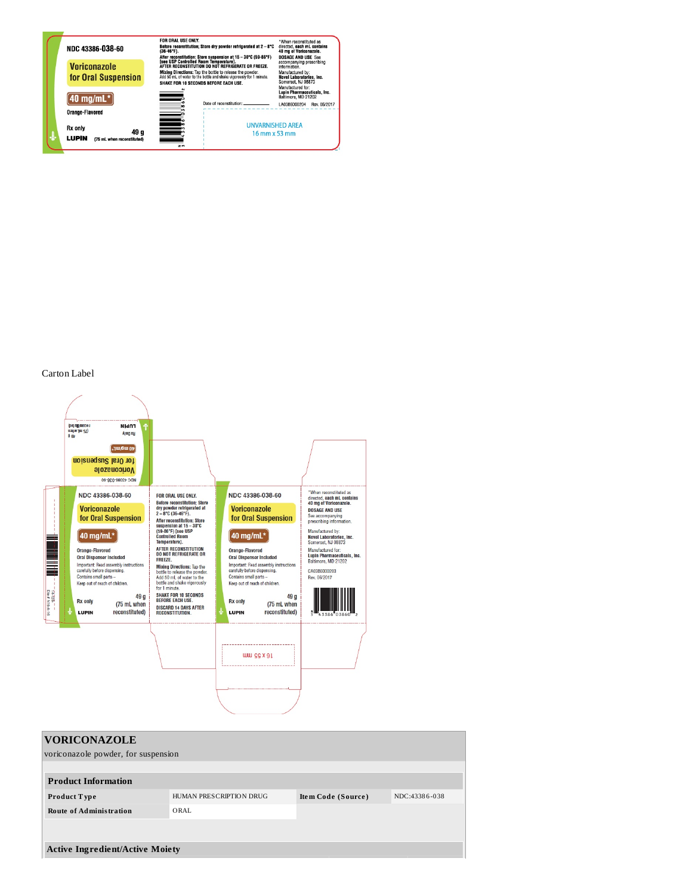

# Carton Label



| <b>VORICONAZOLE</b><br>voriconazole powder, for suspension |                                  |                    |               |
|------------------------------------------------------------|----------------------------------|--------------------|---------------|
| <b>Product Information</b>                                 |                                  |                    |               |
| Product Type<br><b>Route of Administration</b>             | HUMAN PRESCRIPTION DRUG<br>ORAL. | Item Code (Source) | NDC:43386-038 |
|                                                            |                                  |                    |               |
| <b>Active Ingredient/Active Moiety</b>                     |                                  |                    |               |